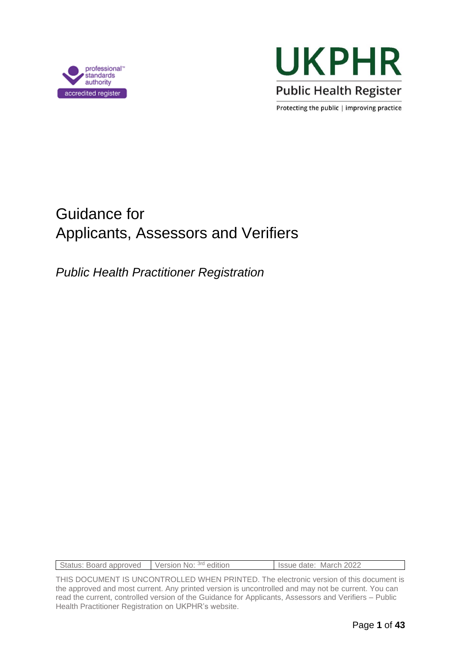



Protecting the public | improving practice

# Guidance for Applicants, Assessors and Verifiers

*Public Health Practitioner Registration*

THIS DOCUMENT IS UNCONTROLLED WHEN PRINTED. The electronic version of this document is the approved and most current. Any printed version is uncontrolled and may not be current. You can read the current, controlled version of the Guidance for Applicants, Assessors and Verifiers – Public Health Practitioner Registration on UKPHR's website.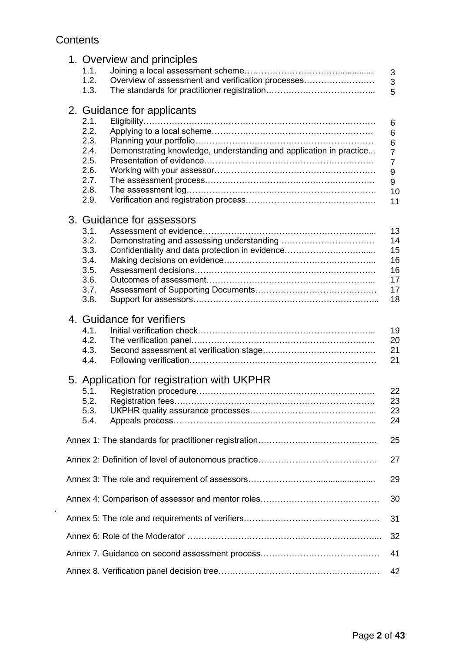### **Contents**

| 1. Overview and principles                                                 |                |
|----------------------------------------------------------------------------|----------------|
| 1.1.                                                                       | 3              |
| 1.2.<br>Overview of assessment and verification processes                  | 3              |
| 1.3.                                                                       | 5              |
|                                                                            |                |
| 2. Guidance for applicants                                                 |                |
| 2.1.                                                                       |                |
| 2.2.                                                                       | 6              |
| 2.3.                                                                       | 6              |
|                                                                            | 6              |
| Demonstrating knowledge, understanding and application in practice<br>2.4. | $\overline{7}$ |
| 2.5.                                                                       | $\overline{7}$ |
| 2.6.                                                                       | 9              |
| 2.7.                                                                       | 9              |
| 2.8.                                                                       | 10             |
| 2.9.                                                                       | 11             |
|                                                                            |                |
| 3. Guidance for assessors                                                  |                |
| 3.1.                                                                       | 13             |
| 3.2.                                                                       | 14             |
| 3.3.<br>Confidentiality and data protection in evidence                    | 15             |
| 3.4.                                                                       | 16             |
| 3.5.                                                                       | 16             |
| 3.6.                                                                       | 17             |
| 3.7.                                                                       | 17             |
| 3.8.                                                                       | 18             |
|                                                                            |                |
| 4. Guidance for verifiers                                                  |                |
| 4.1.                                                                       | 19             |
| 4.2.                                                                       | 20             |
| 4.3.                                                                       | 21             |
| 4.4.                                                                       | 21             |
|                                                                            |                |
| 5. Application for registration with UKPHR                                 |                |
| 5.1.                                                                       | 22             |
| 5.2.                                                                       | 23             |
| 5.3.                                                                       | 23             |
| 5.4.                                                                       | 24             |
|                                                                            |                |
|                                                                            | 25             |
|                                                                            | 27             |
|                                                                            |                |
|                                                                            | 29             |
|                                                                            |                |
|                                                                            | 30             |
|                                                                            |                |
|                                                                            | 31             |
|                                                                            |                |
|                                                                            | 32             |
|                                                                            | 41             |
|                                                                            |                |
|                                                                            | 42             |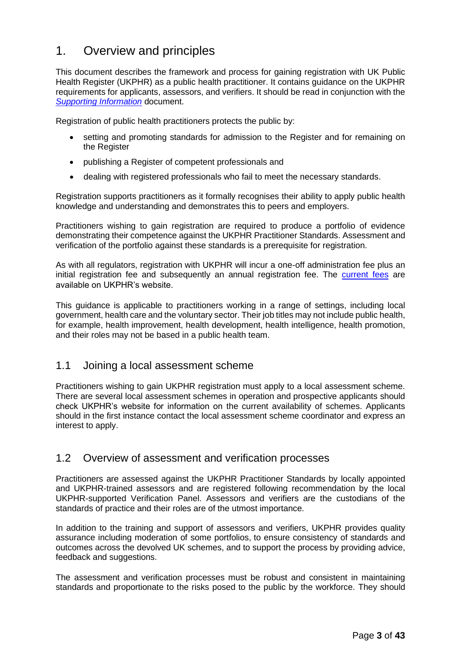# 1. Overview and principles

This document describes the framework and process for gaining registration with UK Public Health Register (UKPHR) as a public health practitioner. It contains guidance on the UKPHR requirements for applicants, assessors, and verifiers. It should be read in conjunction with the *[Supporting Information](https://ukphr.org/wp-content/uploads/2022/03/UKPHR-Practitioner-Supporting-Information-March-22.docx)* document.

Registration of public health practitioners protects the public by:

- setting and promoting standards for admission to the Register and for remaining on the Register
- publishing a Register of competent professionals and
- dealing with registered professionals who fail to meet the necessary standards.

Registration supports practitioners as it formally recognises their ability to apply public health knowledge and understanding and demonstrates this to peers and employers.

Practitioners wishing to gain registration are required to produce a portfolio of evidence demonstrating their competence against the UKPHR Practitioner Standards. Assessment and verification of the portfolio against these standards is a prerequisite for registration.

As with all regulators, registration with UKPHR will incur a one-off administration fee plus an initial registration fee and subsequently an annual registration fee. The [current fees](https://ukphr.org/fees-and-charges/) are available on UKPHR's website.

This guidance is applicable to practitioners working in a range of settings, including local government, health care and the voluntary sector. Their job titles may not include public health, for example, health improvement, health development, health intelligence, health promotion, and their roles may not be based in a public health team.

### 1.1 Joining a local assessment scheme

Practitioners wishing to gain UKPHR registration must apply to a local assessment scheme. There are several local assessment schemes in operation and prospective applicants should check UKPHR's website for information on the current availability of schemes. Applicants should in the first instance contact the local assessment scheme coordinator and express an interest to apply.

### 1.2 Overview of assessment and verification processes

Practitioners are assessed against the UKPHR Practitioner Standards by locally appointed and UKPHR-trained assessors and are registered following recommendation by the local UKPHR-supported Verification Panel. Assessors and verifiers are the custodians of the standards of practice and their roles are of the utmost importance.

In addition to the training and support of assessors and verifiers, UKPHR provides quality assurance including moderation of some portfolios, to ensure consistency of standards and outcomes across the devolved UK schemes, and to support the process by providing advice, feedback and suggestions.

The assessment and verification processes must be robust and consistent in maintaining standards and proportionate to the risks posed to the public by the workforce. They should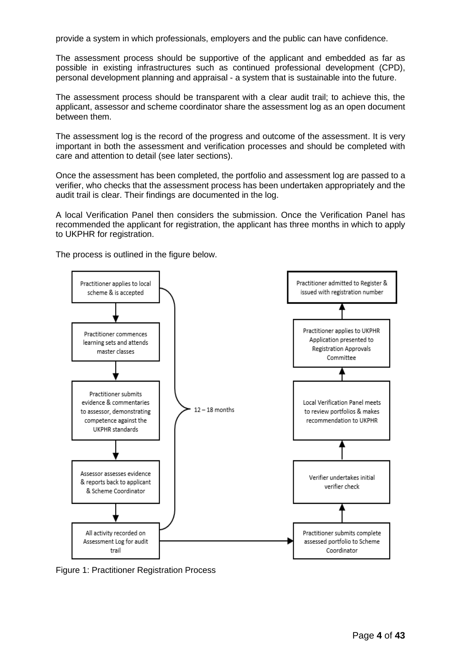provide a system in which professionals, employers and the public can have confidence.

The assessment process should be supportive of the applicant and embedded as far as possible in existing infrastructures such as continued professional development (CPD), personal development planning and appraisal - a system that is sustainable into the future.

The assessment process should be transparent with a clear audit trail; to achieve this, the applicant, assessor and scheme coordinator share the assessment log as an open document between them.

The assessment log is the record of the progress and outcome of the assessment. It is very important in both the assessment and verification processes and should be completed with care and attention to detail (see later sections).

Once the assessment has been completed, the portfolio and assessment log are passed to a verifier, who checks that the assessment process has been undertaken appropriately and the audit trail is clear. Their findings are documented in the log.

A local Verification Panel then considers the submission. Once the Verification Panel has recommended the applicant for registration, the applicant has three months in which to apply to UKPHR for registration.



The process is outlined in the figure below.

Figure 1: Practitioner Registration Process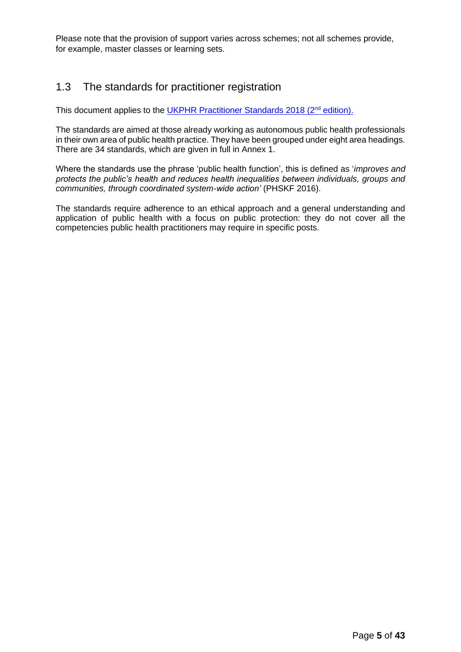Please note that the provision of support varies across schemes; not all schemes provide, for example, master classes or learning sets.

### 1.3 The standards for practitioner registration

This document applies to the [UKPHR Practitioner Standards 2018 \(2](https://ukphr.org/wp-content/uploads/2019/07/UKPHR-Practitioner-Standards-2018-2nd-Ed.pdf)<sup>nd</sup> edition).

The standards are aimed at those already working as autonomous public health professionals in their own area of public health practice. They have been grouped under eight area headings. There are 34 standards, which are given in full in Annex 1.

Where the standards use the phrase 'public health function', this is defined as '*improves and protects the public's health and reduces health inequalities between individuals, groups and communities, through coordinated system-wide action'* (PHSKF 2016).

The standards require adherence to an ethical approach and a general understanding and application of public health with a focus on public protection: they do not cover all the competencies public health practitioners may require in specific posts.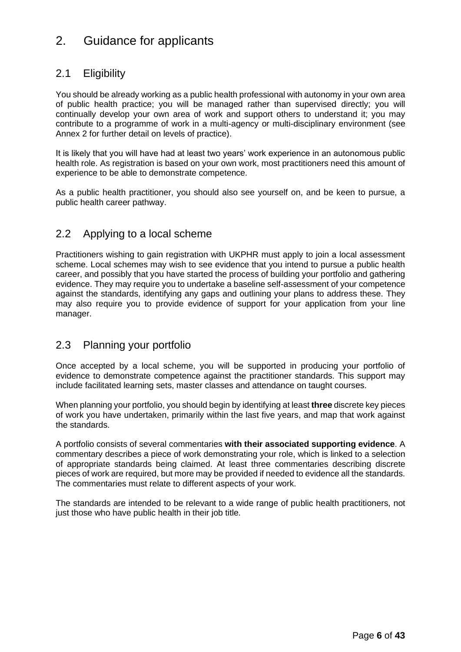# 2. Guidance for applicants

### 2.1 Eligibility

You should be already working as a public health professional with autonomy in your own area of public health practice; you will be managed rather than supervised directly; you will continually develop your own area of work and support others to understand it; you may contribute to a programme of work in a multi-agency or multi-disciplinary environment (see Annex 2 for further detail on levels of practice).

It is likely that you will have had at least two years' work experience in an autonomous public health role. As registration is based on your own work, most practitioners need this amount of experience to be able to demonstrate competence.

As a public health practitioner, you should also see yourself on, and be keen to pursue, a public health career pathway.

### 2.2 Applying to a local scheme

Practitioners wishing to gain registration with UKPHR must apply to join a local assessment scheme. Local schemes may wish to see evidence that you intend to pursue a public health career, and possibly that you have started the process of building your portfolio and gathering evidence. They may require you to undertake a baseline self-assessment of your competence against the standards, identifying any gaps and outlining your plans to address these. They may also require you to provide evidence of support for your application from your line manager.

### 2.3 Planning your portfolio

Once accepted by a local scheme, you will be supported in producing your portfolio of evidence to demonstrate competence against the practitioner standards. This support may include facilitated learning sets, master classes and attendance on taught courses.

When planning your portfolio, you should begin by identifying at least **three** discrete key pieces of work you have undertaken, primarily within the last five years, and map that work against the standards.

A portfolio consists of several commentaries **with their associated supporting evidence**. A commentary describes a piece of work demonstrating your role, which is linked to a selection of appropriate standards being claimed. At least three commentaries describing discrete pieces of work are required, but more may be provided if needed to evidence all the standards. The commentaries must relate to different aspects of your work.

The standards are intended to be relevant to a wide range of public health practitioners, not just those who have public health in their job title.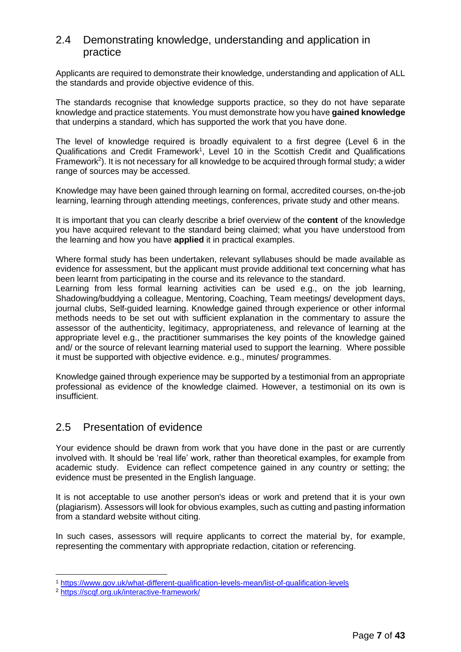### 2.4 Demonstrating knowledge, understanding and application in practice

Applicants are required to demonstrate their knowledge, understanding and application of ALL the standards and provide objective evidence of this.

The standards recognise that knowledge supports practice, so they do not have separate knowledge and practice statements. You must demonstrate how you have **gained knowledge** that underpins a standard, which has supported the work that you have done.

The level of knowledge required is broadly equivalent to a first degree (Level 6 in the Qualifications and Credit Framework<sup>1</sup>, Level 10 in the Scottish Credit and Qualifications Framework<sup>2</sup>). It is not necessary for all knowledge to be acquired through formal study; a wider range of sources may be accessed.

Knowledge may have been gained through learning on formal, accredited courses, on-the-job learning, learning through attending meetings, conferences, private study and other means.

It is important that you can clearly describe a brief overview of the **content** of the knowledge you have acquired relevant to the standard being claimed; what you have understood from the learning and how you have **applied** it in practical examples.

Where formal study has been undertaken, relevant syllabuses should be made available as evidence for assessment, but the applicant must provide additional text concerning what has been learnt from participating in the course and its relevance to the standard.

Learning from less formal learning activities can be used e.g., on the job learning, Shadowing/buddying a colleague, Mentoring, Coaching, Team meetings/ development days, journal clubs, Self-guided learning. Knowledge gained through experience or other informal methods needs to be set out with sufficient explanation in the commentary to assure the assessor of the authenticity, legitimacy, appropriateness, and relevance of learning at the appropriate level e.g., the practitioner summarises the key points of the knowledge gained and/ or the source of relevant learning material used to support the learning. Where possible it must be supported with objective evidence. e.g., minutes/ programmes.

Knowledge gained through experience may be supported by a testimonial from an appropriate professional as evidence of the knowledge claimed. However, a testimonial on its own is insufficient.

### 2.5 Presentation of evidence

Your evidence should be drawn from work that you have done in the past or are currently involved with. It should be 'real life' work, rather than theoretical examples, for example from academic study. Evidence can reflect competence gained in any country or setting; the evidence must be presented in the English language.

It is not acceptable to use another person's ideas or work and pretend that it is your own (plagiarism). Assessors will look for obvious examples, such as cutting and pasting information from a standard website without citing.

In such cases, assessors will require applicants to correct the material by, for example, representing the commentary with appropriate redaction, citation or referencing.

<sup>1</sup> <https://www.gov.uk/what-different-qualification-levels-mean/list-of-qualification-levels>

<sup>2</sup> <https://scqf.org.uk/interactive-framework/>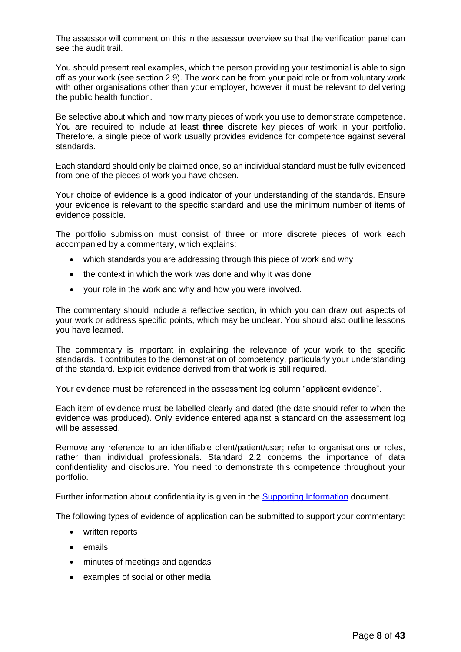The assessor will comment on this in the assessor overview so that the verification panel can see the audit trail.

You should present real examples, which the person providing your testimonial is able to sign off as your work (see section 2.9). The work can be from your paid role or from voluntary work with other organisations other than your employer, however it must be relevant to delivering the public health function.

Be selective about which and how many pieces of work you use to demonstrate competence. You are required to include at least **three** discrete key pieces of work in your portfolio. Therefore, a single piece of work usually provides evidence for competence against several standards.

Each standard should only be claimed once, so an individual standard must be fully evidenced from one of the pieces of work you have chosen.

Your choice of evidence is a good indicator of your understanding of the standards. Ensure your evidence is relevant to the specific standard and use the minimum number of items of evidence possible.

The portfolio submission must consist of three or more discrete pieces of work each accompanied by a commentary, which explains:

- which standards you are addressing through this piece of work and why
- the context in which the work was done and why it was done
- your role in the work and why and how you were involved.

The commentary should include a reflective section, in which you can draw out aspects of your work or address specific points, which may be unclear. You should also outline lessons you have learned.

The commentary is important in explaining the relevance of your work to the specific standards. It contributes to the demonstration of competency, particularly your understanding of the standard. Explicit evidence derived from that work is still required.

Your evidence must be referenced in the assessment log column "applicant evidence".

Each item of evidence must be labelled clearly and dated (the date should refer to when the evidence was produced). Only evidence entered against a standard on the assessment log will be assessed.

Remove any reference to an identifiable client/patient/user; refer to organisations or roles, rather than individual professionals. Standard 2.2 concerns the importance of data confidentiality and disclosure. You need to demonstrate this competence throughout your portfolio.

Further information about confidentiality is given in the [Supporting Information](https://ukphr.org/wp-content/uploads/2022/03/UKPHR-Practitioner-Supporting-Information-March-22.docx) document.

The following types of evidence of application can be submitted to support your commentary:

- written reports
- emails
- minutes of meetings and agendas
- examples of social or other media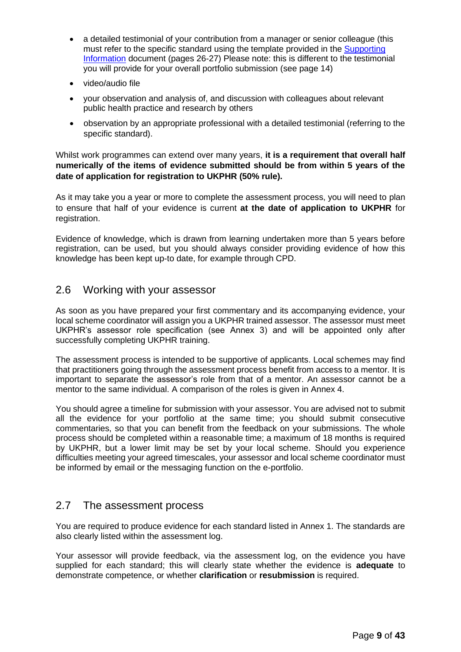- a detailed testimonial of your contribution from a manager or senior colleague (this must refer to the specific standard using the template provided in the [Supporting](https://ukphr.org/wp-content/uploads/2022/03/UKPHR-Practitioner-Supporting-Information-March-22.docx)  [Information](https://ukphr.org/wp-content/uploads/2022/03/UKPHR-Practitioner-Supporting-Information-March-22.docx) document (pages 26-27) Please note: this is different to the testimonial you will provide for your overall portfolio submission (see page 14)
- video/audio file
- your observation and analysis of, and discussion with colleagues about relevant public health practice and research by others
- observation by an appropriate professional with a detailed testimonial (referring to the specific standard).

Whilst work programmes can extend over many years, **it is a requirement that overall half numerically of the items of evidence submitted should be from within 5 years of the date of application for registration to UKPHR (50% rule).**

As it may take you a year or more to complete the assessment process, you will need to plan to ensure that half of your evidence is current **at the date of application to UKPHR** for registration.

Evidence of knowledge, which is drawn from learning undertaken more than 5 years before registration, can be used, but you should always consider providing evidence of how this knowledge has been kept up-to date, for example through CPD.

### 2.6 Working with your assessor

As soon as you have prepared your first commentary and its accompanying evidence, your local scheme coordinator will assign you a UKPHR trained assessor. The assessor must meet UKPHR's assessor role specification (see Annex 3) and will be appointed only after successfully completing UKPHR training.

The assessment process is intended to be supportive of applicants. Local schemes may find that practitioners going through the assessment process benefit from access to a mentor. It is important to separate the assessor's role from that of a mentor. An assessor cannot be a mentor to the same individual. A comparison of the roles is given in Annex 4.

You should agree a timeline for submission with your assessor. You are advised not to submit all the evidence for your portfolio at the same time; you should submit consecutive commentaries, so that you can benefit from the feedback on your submissions. The whole process should be completed within a reasonable time; a maximum of 18 months is required by UKPHR, but a lower limit may be set by your local scheme. Should you experience difficulties meeting your agreed timescales, your assessor and local scheme coordinator must be informed by email or the messaging function on the e-portfolio.

### 2.7 The assessment process

You are required to produce evidence for each standard listed in Annex 1. The standards are also clearly listed within the assessment log.

Your assessor will provide feedback, via the assessment log, on the evidence you have supplied for each standard; this will clearly state whether the evidence is **adequate** to demonstrate competence, or whether **clarification** or **resubmission** is required.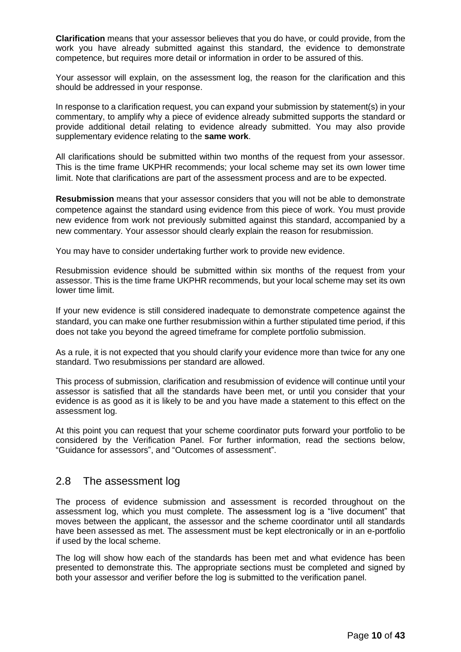**Clarification** means that your assessor believes that you do have, or could provide, from the work you have already submitted against this standard, the evidence to demonstrate competence, but requires more detail or information in order to be assured of this.

Your assessor will explain, on the assessment log, the reason for the clarification and this should be addressed in your response.

In response to a clarification request, you can expand your submission by statement(s) in your commentary, to amplify why a piece of evidence already submitted supports the standard or provide additional detail relating to evidence already submitted. You may also provide supplementary evidence relating to the **same work**.

All clarifications should be submitted within two months of the request from your assessor. This is the time frame UKPHR recommends; your local scheme may set its own lower time limit. Note that clarifications are part of the assessment process and are to be expected.

**Resubmission** means that your assessor considers that you will not be able to demonstrate competence against the standard using evidence from this piece of work. You must provide new evidence from work not previously submitted against this standard, accompanied by a new commentary. Your assessor should clearly explain the reason for resubmission.

You may have to consider undertaking further work to provide new evidence.

Resubmission evidence should be submitted within six months of the request from your assessor. This is the time frame UKPHR recommends, but your local scheme may set its own lower time limit.

If your new evidence is still considered inadequate to demonstrate competence against the standard, you can make one further resubmission within a further stipulated time period, if this does not take you beyond the agreed timeframe for complete portfolio submission.

As a rule, it is not expected that you should clarify your evidence more than twice for any one standard. Two resubmissions per standard are allowed.

This process of submission, clarification and resubmission of evidence will continue until your assessor is satisfied that all the standards have been met, or until you consider that your evidence is as good as it is likely to be and you have made a statement to this effect on the assessment log.

At this point you can request that your scheme coordinator puts forward your portfolio to be considered by the Verification Panel. For further information, read the sections below, "Guidance for assessors", and "Outcomes of assessment".

### 2.8 The assessment log

The process of evidence submission and assessment is recorded throughout on the assessment log, which you must complete. The assessment log is a "live document" that moves between the applicant, the assessor and the scheme coordinator until all standards have been assessed as met. The assessment must be kept electronically or in an e-portfolio if used by the local scheme.

The log will show how each of the standards has been met and what evidence has been presented to demonstrate this. The appropriate sections must be completed and signed by both your assessor and verifier before the log is submitted to the verification panel.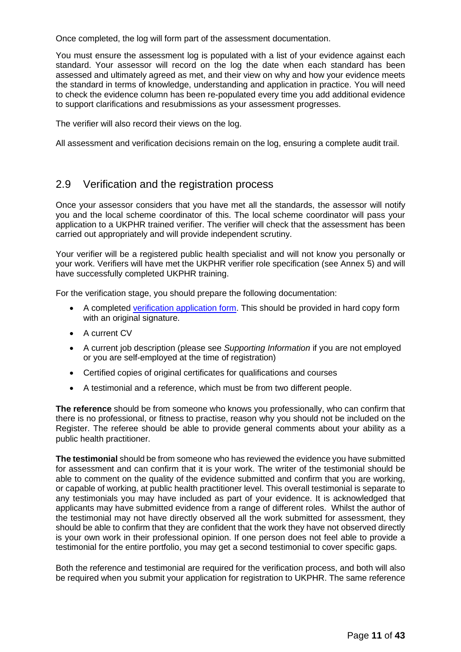Once completed, the log will form part of the assessment documentation.

You must ensure the assessment log is populated with a list of your evidence against each standard. Your assessor will record on the log the date when each standard has been assessed and ultimately agreed as met, and their view on why and how your evidence meets the standard in terms of knowledge, understanding and application in practice. You will need to check the evidence column has been re-populated every time you add additional evidence to support clarifications and resubmissions as your assessment progresses.

The verifier will also record their views on the log.

All assessment and verification decisions remain on the log, ensuring a complete audit trail.

### 2.9 Verification and the registration process

Once your assessor considers that you have met all the standards, the assessor will notify you and the local scheme coordinator of this. The local scheme coordinator will pass your application to a UKPHR trained verifier. The verifier will check that the assessment has been carried out appropriately and will provide independent scrutiny.

Your verifier will be a registered public health specialist and will not know you personally or your work. Verifiers will have met the UKPHR verifier role specification (see Annex 5) and will have successfully completed UKPHR training.

For the verification stage, you should prepare the following documentation:

- A completed [verification application form.](https://ukphr.org/wp-content/uploads/2022/03/Practitioner-Verification-Application-Form-May-2020.docx) This should be provided in hard copy form with an original signature.
- A current CV
- A current job description (please see *Supporting Information* if you are not employed or you are self-employed at the time of registration)
- Certified copies of original certificates for qualifications and courses
- A testimonial and a reference, which must be from two different people.

**The reference** should be from someone who knows you professionally, who can confirm that there is no professional, or fitness to practise, reason why you should not be included on the Register. The referee should be able to provide general comments about your ability as a public health practitioner.

**The testimonial** should be from someone who has reviewed the evidence you have submitted for assessment and can confirm that it is your work. The writer of the testimonial should be able to comment on the quality of the evidence submitted and confirm that you are working, or capable of working, at public health practitioner level. This overall testimonial is separate to any testimonials you may have included as part of your evidence. It is acknowledged that applicants may have submitted evidence from a range of different roles. Whilst the author of the testimonial may not have directly observed all the work submitted for assessment, they should be able to confirm that they are confident that the work they have not observed directly is your own work in their professional opinion. If one person does not feel able to provide a testimonial for the entire portfolio, you may get a second testimonial to cover specific gaps.

Both the reference and testimonial are required for the verification process, and both will also be required when you submit your application for registration to UKPHR. The same reference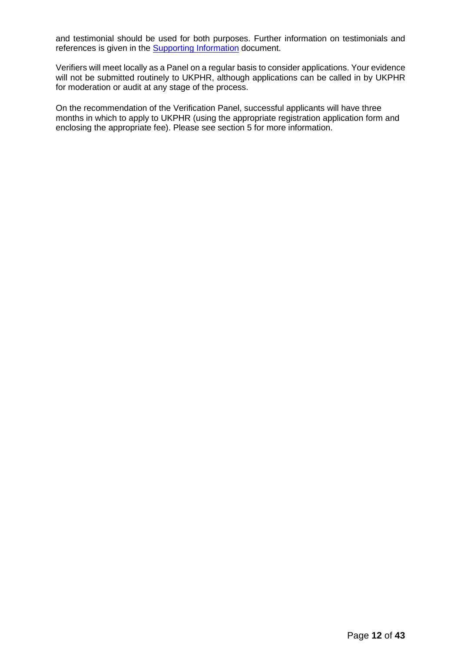and testimonial should be used for both purposes. Further information on testimonials and references is given in the [Supporting Information](https://ukphr.org/wp-content/uploads/2022/03/UKPHR-Practitioner-Supporting-Information-March-22.docx) document.

Verifiers will meet locally as a Panel on a regular basis to consider applications. Your evidence will not be submitted routinely to UKPHR, although applications can be called in by UKPHR for moderation or audit at any stage of the process.

On the recommendation of the Verification Panel, successful applicants will have three months in which to apply to UKPHR (using the appropriate registration application form and enclosing the appropriate fee). Please see section 5 for more information.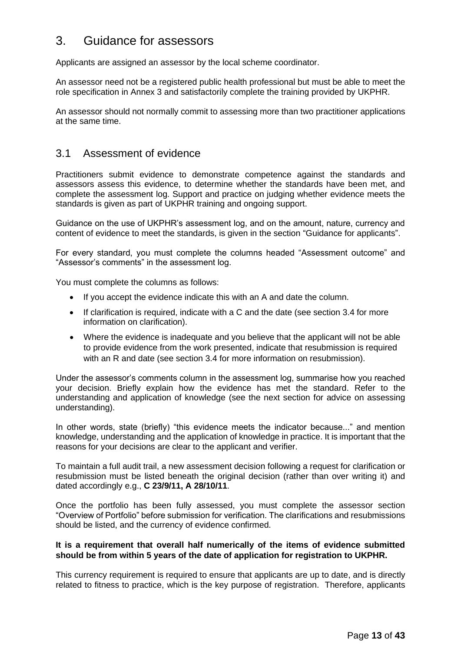# 3. Guidance for assessors

Applicants are assigned an assessor by the local scheme coordinator.

An assessor need not be a registered public health professional but must be able to meet the role specification in Annex 3 and satisfactorily complete the training provided by UKPHR.

An assessor should not normally commit to assessing more than two practitioner applications at the same time.

### 3.1 Assessment of evidence

Practitioners submit evidence to demonstrate competence against the standards and assessors assess this evidence, to determine whether the standards have been met, and complete the assessment log. Support and practice on judging whether evidence meets the standards is given as part of UKPHR training and ongoing support.

Guidance on the use of UKPHR's assessment log, and on the amount, nature, currency and content of evidence to meet the standards, is given in the section "Guidance for applicants".

For every standard, you must complete the columns headed "Assessment outcome" and "Assessor's comments" in the assessment log.

You must complete the columns as follows:

- If you accept the evidence indicate this with an A and date the column.
- If clarification is required, indicate with a C and the date (see section 3.4 for more information on clarification).
- Where the evidence is inadequate and you believe that the applicant will not be able to provide evidence from the work presented, indicate that resubmission is required with an R and date (see section 3.4 for more information on resubmission).

Under the assessor's comments column in the assessment log, summarise how you reached your decision. Briefly explain how the evidence has met the standard. Refer to the understanding and application of knowledge (see the next section for advice on assessing understanding).

In other words, state (briefly) "this evidence meets the indicator because..." and mention knowledge, understanding and the application of knowledge in practice. It is important that the reasons for your decisions are clear to the applicant and verifier.

To maintain a full audit trail, a new assessment decision following a request for clarification or resubmission must be listed beneath the original decision (rather than over writing it) and dated accordingly e.g., **C 23/9/11, A 28/10/11**.

Once the portfolio has been fully assessed, you must complete the assessor section "Overview of Portfolio" before submission for verification. The clarifications and resubmissions should be listed, and the currency of evidence confirmed.

#### **It is a requirement that overall half numerically of the items of evidence submitted should be from within 5 years of the date of application for registration to UKPHR.**

This currency requirement is required to ensure that applicants are up to date, and is directly related to fitness to practice, which is the key purpose of registration. Therefore, applicants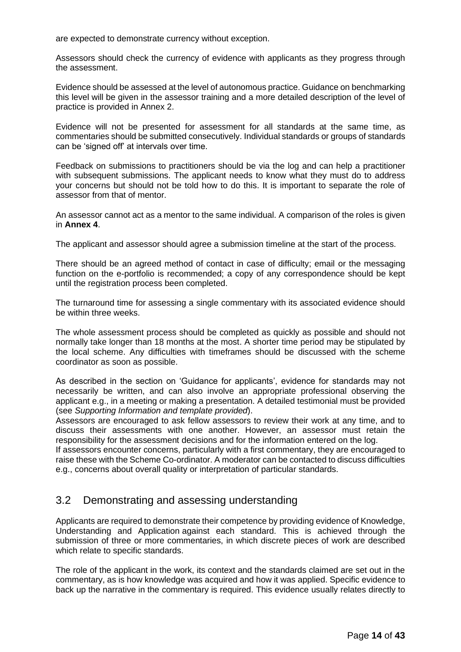are expected to demonstrate currency without exception.

Assessors should check the currency of evidence with applicants as they progress through the assessment.

Evidence should be assessed at the level of autonomous practice. Guidance on benchmarking this level will be given in the assessor training and a more detailed description of the level of practice is provided in Annex 2.

Evidence will not be presented for assessment for all standards at the same time, as commentaries should be submitted consecutively. Individual standards or groups of standards can be 'signed off' at intervals over time.

Feedback on submissions to practitioners should be via the log and can help a practitioner with subsequent submissions. The applicant needs to know what they must do to address your concerns but should not be told how to do this. It is important to separate the role of assessor from that of mentor.

An assessor cannot act as a mentor to the same individual. A comparison of the roles is given in **Annex 4**.

The applicant and assessor should agree a submission timeline at the start of the process.

There should be an agreed method of contact in case of difficulty; email or the messaging function on the e-portfolio is recommended; a copy of any correspondence should be kept until the registration process been completed.

The turnaround time for assessing a single commentary with its associated evidence should be within three weeks.

The whole assessment process should be completed as quickly as possible and should not normally take longer than 18 months at the most. A shorter time period may be stipulated by the local scheme. Any difficulties with timeframes should be discussed with the scheme coordinator as soon as possible.

As described in the section on 'Guidance for applicants', evidence for standards may not necessarily be written, and can also involve an appropriate professional observing the applicant e.g., in a meeting or making a presentation. A detailed testimonial must be provided (see *Supporting Information and template provided*).

Assessors are encouraged to ask fellow assessors to review their work at any time, and to discuss their assessments with one another. However, an assessor must retain the responsibility for the assessment decisions and for the information entered on the log.

If assessors encounter concerns, particularly with a first commentary, they are encouraged to raise these with the Scheme Co-ordinator. A moderator can be contacted to discuss difficulties e.g., concerns about overall quality or interpretation of particular standards.

### 3.2 Demonstrating and assessing understanding

Applicants are required to demonstrate their competence by providing evidence of Knowledge, Understanding and Application against each standard. This is achieved through the submission of three or more commentaries, in which discrete pieces of work are described which relate to specific standards.

The role of the applicant in the work, its context and the standards claimed are set out in the commentary, as is how knowledge was acquired and how it was applied. Specific evidence to back up the narrative in the commentary is required. This evidence usually relates directly to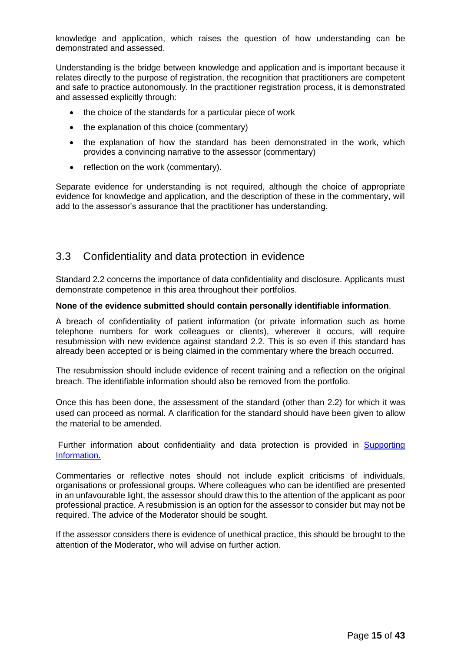knowledge and application, which raises the question of how understanding can be demonstrated and assessed.

Understanding is the bridge between knowledge and application and is important because it relates directly to the purpose of registration, the recognition that practitioners are competent and safe to practice autonomously. In the practitioner registration process, it is demonstrated and assessed explicitly through:

- the choice of the standards for a particular piece of work
- the explanation of this choice (commentary)
- the explanation of how the standard has been demonstrated in the work, which provides a convincing narrative to the assessor (commentary)
- reflection on the work (commentary).

Separate evidence for understanding is not required, although the choice of appropriate evidence for knowledge and application, and the description of these in the commentary, will add to the assessor's assurance that the practitioner has understanding.

### 3.3 Confidentiality and data protection in evidence

Standard 2.2 concerns the importance of data confidentiality and disclosure. Applicants must demonstrate competence in this area throughout their portfolios.

#### **None of the evidence submitted should contain personally identifiable information**.

A breach of confidentiality of patient information (or private information such as home telephone numbers for work colleagues or clients), wherever it occurs, will require resubmission with new evidence against standard 2.2. This is so even if this standard has already been accepted or is being claimed in the commentary where the breach occurred.

The resubmission should include evidence of recent training and a reflection on the original breach. The identifiable information should also be removed from the portfolio.

Once this has been done, the assessment of the standard (other than 2.2) for which it was used can proceed as normal. A clarification for the standard should have been given to allow the material to be amended.

Further information about confidentiality and data protection is provided in Supporting [Information.](https://ukphr.org/wp-content/uploads/2022/03/UKPHR-Practitioner-Supporting-Information-March-22.docx)

Commentaries or reflective notes should not include explicit criticisms of individuals, organisations or professional groups. Where colleagues who can be identified are presented in an unfavourable light, the assessor should draw this to the attention of the applicant as poor professional practice. A resubmission is an option for the assessor to consider but may not be required. The advice of the Moderator should be sought.

If the assessor considers there is evidence of unethical practice, this should be brought to the attention of the Moderator, who will advise on further action.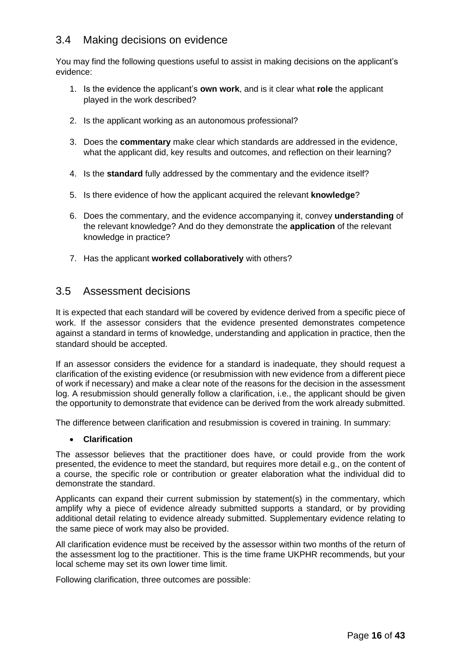### 3.4 Making decisions on evidence

You may find the following questions useful to assist in making decisions on the applicant's evidence:

- 1. Is the evidence the applicant's **own work**, and is it clear what **role** the applicant played in the work described?
- 2. Is the applicant working as an autonomous professional?
- 3. Does the **commentary** make clear which standards are addressed in the evidence, what the applicant did, key results and outcomes, and reflection on their learning?
- 4. Is the **standard** fully addressed by the commentary and the evidence itself?
- 5. Is there evidence of how the applicant acquired the relevant **knowledge**?
- 6. Does the commentary, and the evidence accompanying it, convey **understanding** of the relevant knowledge? And do they demonstrate the **application** of the relevant knowledge in practice?
- 7. Has the applicant **worked collaboratively** with others?

### 3.5 Assessment decisions

It is expected that each standard will be covered by evidence derived from a specific piece of work. If the assessor considers that the evidence presented demonstrates competence against a standard in terms of knowledge, understanding and application in practice, then the standard should be accepted.

If an assessor considers the evidence for a standard is inadequate, they should request a clarification of the existing evidence (or resubmission with new evidence from a different piece of work if necessary) and make a clear note of the reasons for the decision in the assessment log. A resubmission should generally follow a clarification, i.e., the applicant should be given the opportunity to demonstrate that evidence can be derived from the work already submitted.

The difference between clarification and resubmission is covered in training. In summary:

#### • **Clarification**

The assessor believes that the practitioner does have, or could provide from the work presented, the evidence to meet the standard, but requires more detail e.g., on the content of a course, the specific role or contribution or greater elaboration what the individual did to demonstrate the standard.

Applicants can expand their current submission by statement(s) in the commentary, which amplify why a piece of evidence already submitted supports a standard, or by providing additional detail relating to evidence already submitted. Supplementary evidence relating to the same piece of work may also be provided.

All clarification evidence must be received by the assessor within two months of the return of the assessment log to the practitioner. This is the time frame UKPHR recommends, but your local scheme may set its own lower time limit.

Following clarification, three outcomes are possible: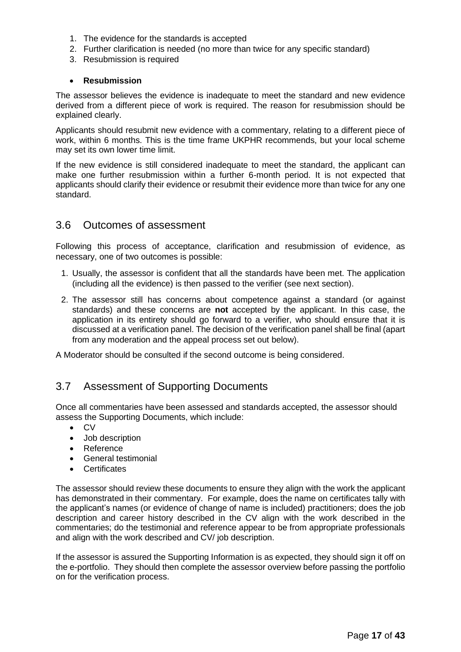- 1. The evidence for the standards is accepted
- 2. Further clarification is needed (no more than twice for any specific standard)
- 3. Resubmission is required

#### • **Resubmission**

The assessor believes the evidence is inadequate to meet the standard and new evidence derived from a different piece of work is required. The reason for resubmission should be explained clearly.

Applicants should resubmit new evidence with a commentary, relating to a different piece of work, within 6 months. This is the time frame UKPHR recommends, but your local scheme may set its own lower time limit.

If the new evidence is still considered inadequate to meet the standard, the applicant can make one further resubmission within a further 6-month period. It is not expected that applicants should clarify their evidence or resubmit their evidence more than twice for any one standard.

### 3.6 Outcomes of assessment

Following this process of acceptance, clarification and resubmission of evidence, as necessary, one of two outcomes is possible:

- 1. Usually, the assessor is confident that all the standards have been met. The application (including all the evidence) is then passed to the verifier (see next section).
- 2. The assessor still has concerns about competence against a standard (or against standards) and these concerns are **not** accepted by the applicant. In this case, the application in its entirety should go forward to a verifier, who should ensure that it is discussed at a verification panel. The decision of the verification panel shall be final (apart from any moderation and the appeal process set out below).

A Moderator should be consulted if the second outcome is being considered.

### 3.7 Assessment of Supporting Documents

Once all commentaries have been assessed and standards accepted, the assessor should assess the Supporting Documents, which include:

- CV
- Job description
- Reference
- General testimonial
- Certificates

The assessor should review these documents to ensure they align with the work the applicant has demonstrated in their commentary. For example, does the name on certificates tally with the applicant's names (or evidence of change of name is included) practitioners; does the job description and career history described in the CV align with the work described in the commentaries; do the testimonial and reference appear to be from appropriate professionals and align with the work described and CV/ job description.

If the assessor is assured the Supporting Information is as expected, they should sign it off on the e-portfolio. They should then complete the assessor overview before passing the portfolio on for the verification process.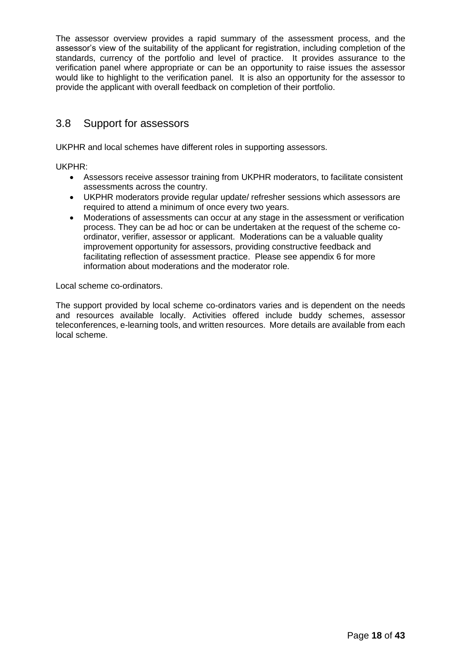The assessor overview provides a rapid summary of the assessment process, and the assessor's view of the suitability of the applicant for registration, including completion of the standards, currency of the portfolio and level of practice. It provides assurance to the verification panel where appropriate or can be an opportunity to raise issues the assessor would like to highlight to the verification panel. It is also an opportunity for the assessor to provide the applicant with overall feedback on completion of their portfolio.

### 3.8 Support for assessors

UKPHR and local schemes have different roles in supporting assessors.

UKPHR:

- Assessors receive assessor training from UKPHR moderators, to facilitate consistent assessments across the country.
- UKPHR moderators provide regular update/ refresher sessions which assessors are required to attend a minimum of once every two years.
- Moderations of assessments can occur at any stage in the assessment or verification process. They can be ad hoc or can be undertaken at the request of the scheme coordinator, verifier, assessor or applicant. Moderations can be a valuable quality improvement opportunity for assessors, providing constructive feedback and facilitating reflection of assessment practice. Please see appendix 6 for more information about moderations and the moderator role.

Local scheme co-ordinators.

The support provided by local scheme co-ordinators varies and is dependent on the needs and resources available locally. Activities offered include buddy schemes, assessor teleconferences, e-learning tools, and written resources. More details are available from each local scheme.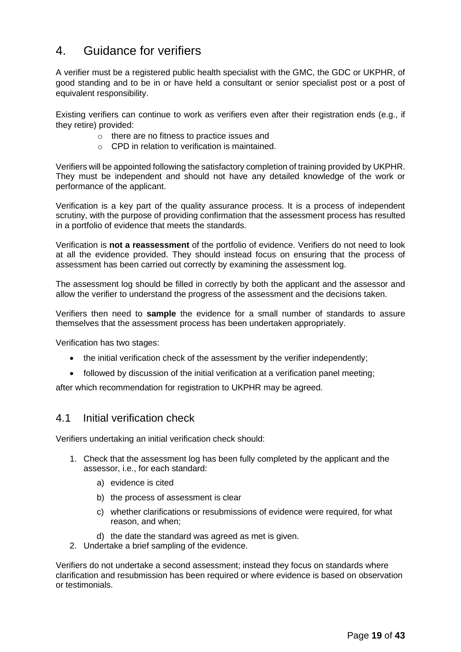# 4. Guidance for verifiers

A verifier must be a registered public health specialist with the GMC, the GDC or UKPHR, of good standing and to be in or have held a consultant or senior specialist post or a post of equivalent responsibility.

Existing verifiers can continue to work as verifiers even after their registration ends (e.g., if they retire) provided:

- o there are no fitness to practice issues and
- $\circ$  CPD in relation to verification is maintained.

Verifiers will be appointed following the satisfactory completion of training provided by UKPHR. They must be independent and should not have any detailed knowledge of the work or performance of the applicant.

Verification is a key part of the quality assurance process. It is a process of independent scrutiny, with the purpose of providing confirmation that the assessment process has resulted in a portfolio of evidence that meets the standards.

Verification is **not a reassessment** of the portfolio of evidence. Verifiers do not need to look at all the evidence provided. They should instead focus on ensuring that the process of assessment has been carried out correctly by examining the assessment log.

The assessment log should be filled in correctly by both the applicant and the assessor and allow the verifier to understand the progress of the assessment and the decisions taken.

Verifiers then need to **sample** the evidence for a small number of standards to assure themselves that the assessment process has been undertaken appropriately.

Verification has two stages:

- the initial verification check of the assessment by the verifier independently;
- followed by discussion of the initial verification at a verification panel meeting;

after which recommendation for registration to UKPHR may be agreed.

### 4.1 Initial verification check

Verifiers undertaking an initial verification check should:

- 1. Check that the assessment log has been fully completed by the applicant and the assessor, i.e., for each standard:
	- a) evidence is cited
	- b) the process of assessment is clear
	- c) whether clarifications or resubmissions of evidence were required, for what reason, and when;
	- d) the date the standard was agreed as met is given.
- 2. Undertake a brief sampling of the evidence.

Verifiers do not undertake a second assessment; instead they focus on standards where clarification and resubmission has been required or where evidence is based on observation or testimonials.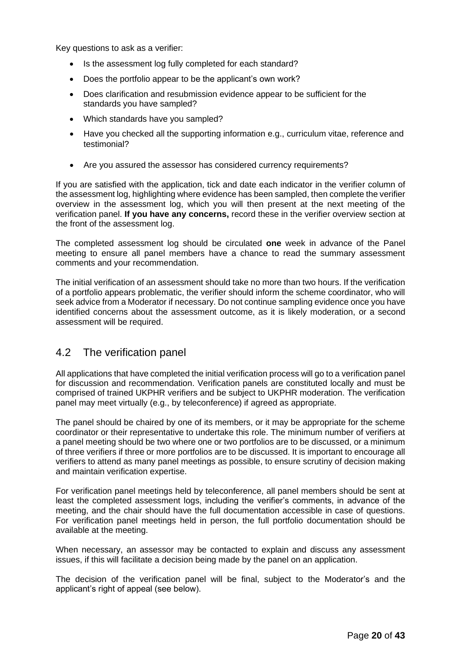Key questions to ask as a verifier:

- Is the assessment log fully completed for each standard?
- Does the portfolio appear to be the applicant's own work?
- Does clarification and resubmission evidence appear to be sufficient for the standards you have sampled?
- Which standards have you sampled?
- Have you checked all the supporting information e.g., curriculum vitae, reference and testimonial?
- Are you assured the assessor has considered currency requirements?

If you are satisfied with the application, tick and date each indicator in the verifier column of the assessment log, highlighting where evidence has been sampled, then complete the verifier overview in the assessment log, which you will then present at the next meeting of the verification panel. **If you have any concerns,** record these in the verifier overview section at the front of the assessment log.

The completed assessment log should be circulated **one** week in advance of the Panel meeting to ensure all panel members have a chance to read the summary assessment comments and your recommendation.

The initial verification of an assessment should take no more than two hours. If the verification of a portfolio appears problematic, the verifier should inform the scheme coordinator, who will seek advice from a Moderator if necessary. Do not continue sampling evidence once you have identified concerns about the assessment outcome, as it is likely moderation, or a second assessment will be required.

### 4.2 The verification panel

All applications that have completed the initial verification process will go to a verification panel for discussion and recommendation. Verification panels are constituted locally and must be comprised of trained UKPHR verifiers and be subject to UKPHR moderation. The verification panel may meet virtually (e.g., by teleconference) if agreed as appropriate.

The panel should be chaired by one of its members, or it may be appropriate for the scheme coordinator or their representative to undertake this role. The minimum number of verifiers at a panel meeting should be two where one or two portfolios are to be discussed, or a minimum of three verifiers if three or more portfolios are to be discussed. It is important to encourage all verifiers to attend as many panel meetings as possible, to ensure scrutiny of decision making and maintain verification expertise.

For verification panel meetings held by teleconference, all panel members should be sent at least the completed assessment logs, including the verifier's comments, in advance of the meeting, and the chair should have the full documentation accessible in case of questions. For verification panel meetings held in person, the full portfolio documentation should be available at the meeting.

When necessary, an assessor may be contacted to explain and discuss any assessment issues, if this will facilitate a decision being made by the panel on an application.

The decision of the verification panel will be final, subject to the Moderator's and the applicant's right of appeal (see below).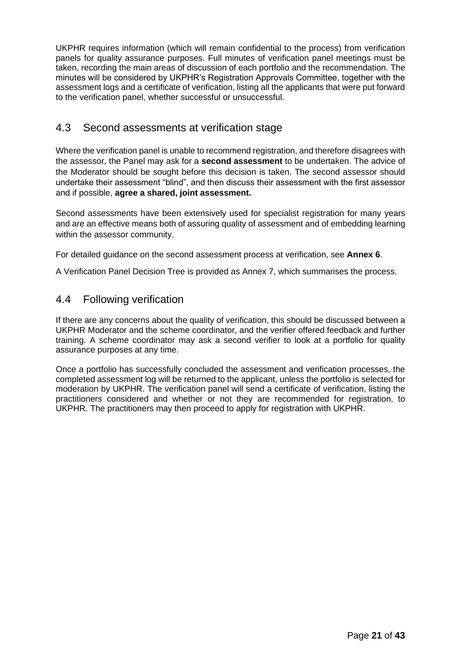UKPHR requires information (which will remain confidential to the process) from verification panels for quality assurance purposes. Full minutes of verification panel meetings must be taken, recording the main areas of discussion of each portfolio and the recommendation. The minutes will be considered by UKPHR's Registration Approvals Committee, together with the assessment logs and a certificate of verification, listing all the applicants that were put forward to the verification panel, whether successful or unsuccessful.

### 4.3 Second assessments at verification stage

Where the verification panel is unable to recommend registration, and therefore disagrees with the assessor, the Panel may ask for a **second assessment** to be undertaken. The advice of the Moderator should be sought before this decision is taken. The second assessor should undertake their assessment "blind", and then discuss their assessment with the first assessor and if possible, **agree a shared, joint assessment.**

Second assessments have been extensively used for specialist registration for many years and are an effective means both of assuring quality of assessment and of embedding learning within the assessor community.

For detailed guidance on the second assessment process at verification, see **Annex 6**.

A Verification Panel Decision Tree is provided as Annex 7, which summarises the process.

### 4.4 Following verification

If there are any concerns about the quality of verification, this should be discussed between a UKPHR Moderator and the scheme coordinator, and the verifier offered feedback and further training. A scheme coordinator may ask a second verifier to look at a portfolio for quality assurance purposes at any time.

Once a portfolio has successfully concluded the assessment and verification processes, the completed assessment log will be returned to the applicant, unless the portfolio is selected for moderation by UKPHR. The verification panel will send a certificate of verification, listing the practitioners considered and whether or not they are recommended for registration, to UKPHR. The practitioners may then proceed to apply for registration with UKPHR.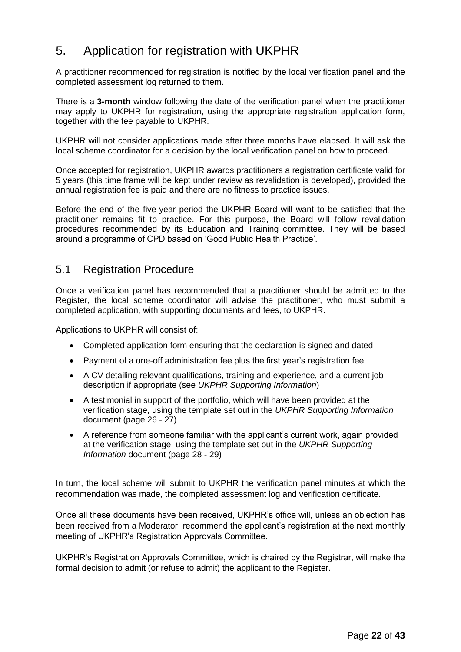# 5. Application for registration with UKPHR

A practitioner recommended for registration is notified by the local verification panel and the completed assessment log returned to them.

There is a **3-month** window following the date of the verification panel when the practitioner may apply to UKPHR for registration, using the appropriate registration application form, together with the fee payable to UKPHR.

UKPHR will not consider applications made after three months have elapsed. It will ask the local scheme coordinator for a decision by the local verification panel on how to proceed.

Once accepted for registration, UKPHR awards practitioners a registration certificate valid for 5 years (this time frame will be kept under review as revalidation is developed), provided the annual registration fee is paid and there are no fitness to practice issues.

Before the end of the five-year period the UKPHR Board will want to be satisfied that the practitioner remains fit to practice. For this purpose, the Board will follow revalidation procedures recommended by its Education and Training committee. They will be based around a programme of CPD based on 'Good Public Health Practice'.

### 5.1 Registration Procedure

Once a verification panel has recommended that a practitioner should be admitted to the Register, the local scheme coordinator will advise the practitioner, who must submit a completed application, with supporting documents and fees, to UKPHR.

Applications to UKPHR will consist of:

- Completed application form ensuring that the declaration is signed and dated
- Payment of a one-off administration fee plus the first year's registration fee
- A CV detailing relevant qualifications, training and experience, and a current job description if appropriate (see *UKPHR Supporting Information*)
- A testimonial in support of the portfolio, which will have been provided at the verification stage, using the template set out in the *UKPHR Supporting Information*  document (page 26 - 27)
- A reference from someone familiar with the applicant's current work, again provided at the verification stage, using the template set out in the *UKPHR Supporting Information* document (page 28 - 29)

In turn, the local scheme will submit to UKPHR the verification panel minutes at which the recommendation was made, the completed assessment log and verification certificate.

Once all these documents have been received, UKPHR's office will, unless an objection has been received from a Moderator, recommend the applicant's registration at the next monthly meeting of UKPHR's Registration Approvals Committee.

UKPHR's Registration Approvals Committee, which is chaired by the Registrar, will make the formal decision to admit (or refuse to admit) the applicant to the Register.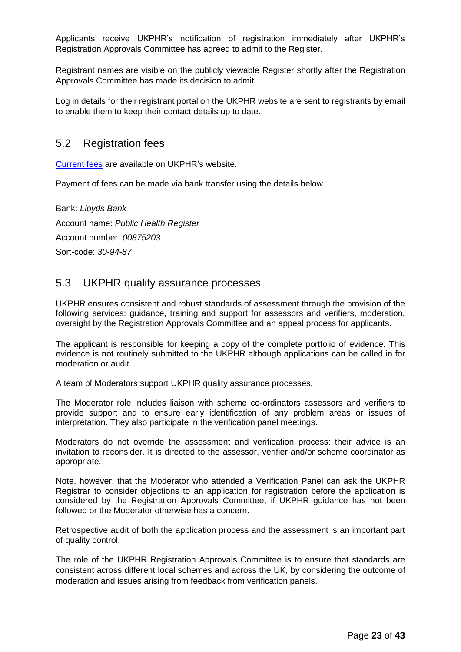Applicants receive UKPHR's notification of registration immediately after UKPHR's Registration Approvals Committee has agreed to admit to the Register.

Registrant names are visible on the publicly viewable Register shortly after the Registration Approvals Committee has made its decision to admit.

Log in details for their registrant portal on the UKPHR website are sent to registrants by email to enable them to keep their contact details up to date.

### 5.2 Registration fees

[Current fees](https://ukphr.org/fees-and-charges/) are available on UKPHR's website.

Payment of fees can be made via bank transfer using the details below.

Bank: *Lloyds Bank* Account name: *Public Health Register* Account number: *00875203* Sort-code: *30-94-87*

### 5.3 UKPHR quality assurance processes

UKPHR ensures consistent and robust standards of assessment through the provision of the following services: guidance, training and support for assessors and verifiers, moderation, oversight by the Registration Approvals Committee and an appeal process for applicants.

The applicant is responsible for keeping a copy of the complete portfolio of evidence. This evidence is not routinely submitted to the UKPHR although applications can be called in for moderation or audit.

A team of Moderators support UKPHR quality assurance processes.

The Moderator role includes liaison with scheme co-ordinators assessors and verifiers to provide support and to ensure early identification of any problem areas or issues of interpretation. They also participate in the verification panel meetings.

Moderators do not override the assessment and verification process: their advice is an invitation to reconsider. It is directed to the assessor, verifier and/or scheme coordinator as appropriate.

Note, however, that the Moderator who attended a Verification Panel can ask the UKPHR Registrar to consider objections to an application for registration before the application is considered by the Registration Approvals Committee, if UKPHR guidance has not been followed or the Moderator otherwise has a concern.

Retrospective audit of both the application process and the assessment is an important part of quality control.

The role of the UKPHR Registration Approvals Committee is to ensure that standards are consistent across different local schemes and across the UK, by considering the outcome of moderation and issues arising from feedback from verification panels.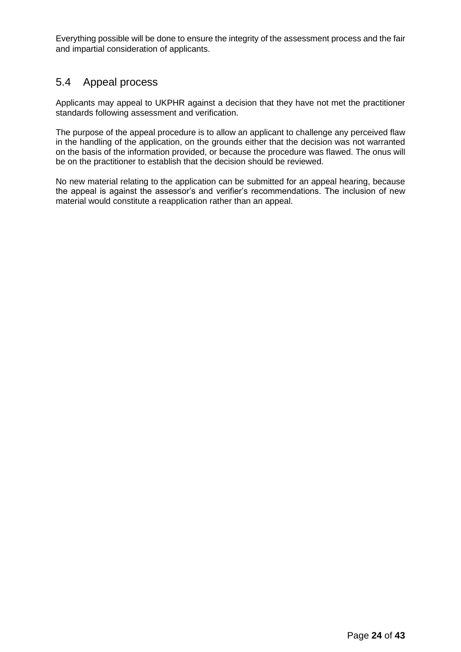Everything possible will be done to ensure the integrity of the assessment process and the fair and impartial consideration of applicants.

### 5.4 Appeal process

Applicants may appeal to UKPHR against a decision that they have not met the practitioner standards following assessment and verification.

The purpose of the appeal procedure is to allow an applicant to challenge any perceived flaw in the handling of the application, on the grounds either that the decision was not warranted on the basis of the information provided, or because the procedure was flawed. The onus will be on the practitioner to establish that the decision should be reviewed.

No new material relating to the application can be submitted for an appeal hearing, because the appeal is against the assessor's and verifier's recommendations. The inclusion of new material would constitute a reapplication rather than an appeal.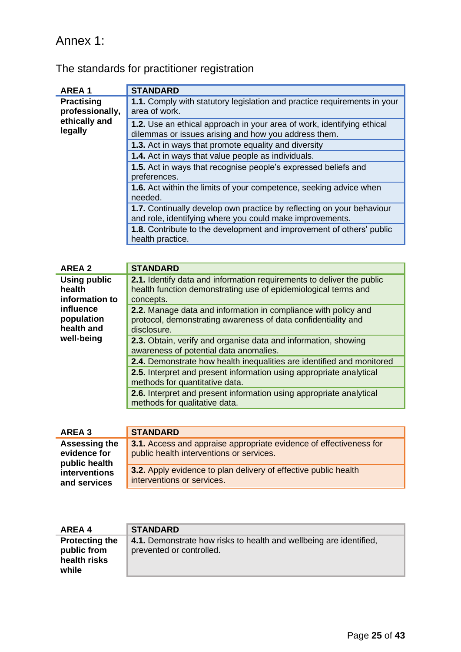# Annex 1:

l.

| <b>AREA1</b>                         | <b>STANDARD</b>                                                                                                                   |
|--------------------------------------|-----------------------------------------------------------------------------------------------------------------------------------|
| <b>Practising</b><br>professionally, | 1.1. Comply with statutory legislation and practice requirements in your<br>area of work.                                         |
| ethically and<br>legally             | 1.2. Use an ethical approach in your area of work, identifying ethical<br>dilemmas or issues arising and how you address them.    |
|                                      | 1.3. Act in ways that promote equality and diversity                                                                              |
|                                      | 1.4. Act in ways that value people as individuals.                                                                                |
|                                      | 1.5. Act in ways that recognise people's expressed beliefs and<br>preferences.                                                    |
|                                      | <b>1.6.</b> Act within the limits of your competence, seeking advice when<br>needed.                                              |
|                                      | 1.7. Continually develop own practice by reflecting on your behaviour<br>and role, identifying where you could make improvements. |
|                                      | 1.8. Contribute to the development and improvement of others' public<br>health practice.                                          |

| <b>AREA 2</b>                         | <b>STANDARD</b>                                                                                                                                |
|---------------------------------------|------------------------------------------------------------------------------------------------------------------------------------------------|
| Using public<br>health                | 2.1. Identify data and information requirements to deliver the public<br>health function demonstrating use of epidemiological terms and        |
| information to                        | concepts.                                                                                                                                      |
| influence<br>population<br>health and | 2.2. Manage data and information in compliance with policy and<br>protocol, demonstrating awareness of data confidentiality and<br>disclosure. |
| well-being                            | 2.3. Obtain, verify and organise data and information, showing<br>awareness of potential data anomalies.                                       |
|                                       | 2.4. Demonstrate how health inequalities are identified and monitored                                                                          |
|                                       | 2.5. Interpret and present information using appropriate analytical<br>methods for quantitative data.                                          |
|                                       | 2.6. Interpret and present information using appropriate analytical<br>methods for qualitative data.                                           |
|                                       |                                                                                                                                                |

| AREA 3                                         | <b>STANDARD</b>                                                                                                |
|------------------------------------------------|----------------------------------------------------------------------------------------------------------------|
| Assessing the<br>evidence for<br>public health | 3.1. Access and appraise appropriate evidence of effectiveness for<br>public health interventions or services. |
| interventions<br>and services                  | 3.2. Apply evidence to plan delivery of effective public health<br>interventions or services.                  |

| AREA 4                                                        | <b>STANDARD</b>                                                                                |
|---------------------------------------------------------------|------------------------------------------------------------------------------------------------|
| <b>Protecting the</b><br>public from<br>health risks<br>while | 4.1. Demonstrate how risks to health and wellbeing are identified,<br>prevented or controlled. |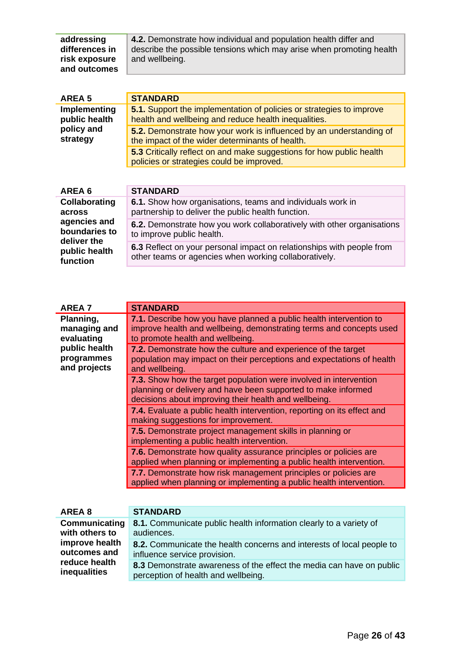| addressing     | 4.2. Demonstrate how individual and population health differ and     |
|----------------|----------------------------------------------------------------------|
| differences in | describe the possible tensions which may arise when promoting health |
| risk exposure  | and wellbeing.                                                       |
| and outcomes   |                                                                      |

| AREA <sub>5</sub>             | <b>STANDARD</b>                                                                                                              |
|-------------------------------|------------------------------------------------------------------------------------------------------------------------------|
| Implementing<br>public health | 5.1. Support the implementation of policies or strategies to improve<br>health and wellbeing and reduce health inequalities. |
| policy and<br>strategy        | 5.2. Demonstrate how your work is influenced by an understanding of<br>the impact of the wider determinants of health.       |
|                               | 5.3 Critically reflect on and make suggestions for how public health<br>policies or strategies could be improved.            |
|                               |                                                                                                                              |
| AREA 6                        | <b>STANDARD</b>                                                                                                              |

| AREA 0                                       | <b>SIANDARD</b>                                                                                                                |
|----------------------------------------------|--------------------------------------------------------------------------------------------------------------------------------|
| Collaborating                                | 6.1. Show how organisations, teams and individuals work in                                                                     |
| across                                       | partnership to deliver the public health function.                                                                             |
| agencies and<br>boundaries to<br>deliver the | <b>6.2.</b> Demonstrate how you work collaboratively with other organisations<br>to improve public health.                     |
| public health<br>function                    | 6.3 Reflect on your personal impact on relationships with people from<br>other teams or agencies when working collaboratively. |

| <b>AREA 7</b> | <b>STANDARD</b>                                                         |
|---------------|-------------------------------------------------------------------------|
| Planning,     | 7.1. Describe how you have planned a public health intervention to      |
| managing and  | improve health and wellbeing, demonstrating terms and concepts used     |
| evaluating    | to promote health and wellbeing.                                        |
| public health | 7.2. Demonstrate how the culture and experience of the target           |
| programmes    | population may impact on their perceptions and expectations of health   |
| and projects  | and wellbeing.                                                          |
|               | 7.3. Show how the target population were involved in intervention       |
|               | planning or delivery and have been supported to make informed           |
|               | decisions about improving their health and wellbeing.                   |
|               | 7.4. Evaluate a public health intervention, reporting on its effect and |
|               | making suggestions for improvement.                                     |
|               | 7.5. Demonstrate project management skills in planning or               |
|               | implementing a public health intervention.                              |
|               | 7.6. Demonstrate how quality assurance principles or policies are       |
|               | applied when planning or implementing a public health intervention.     |
|               | 7.7. Demonstrate how risk management principles or policies are         |
|               | applied when planning or implementing a public health intervention.     |
|               |                                                                         |

| AREA 8         | <b>STANDARD</b>                                                       |
|----------------|-----------------------------------------------------------------------|
| Communicating  | 8.1. Communicate public health information clearly to a variety of    |
| with others to | audiences.                                                            |
| improve health | 8.2. Communicate the health concerns and interests of local people to |
| outcomes and   | influence service provision.                                          |
| reduce health  | 8.3 Demonstrate awareness of the effect the media can have on public  |
| inequalities   | perception of health and wellbeing.                                   |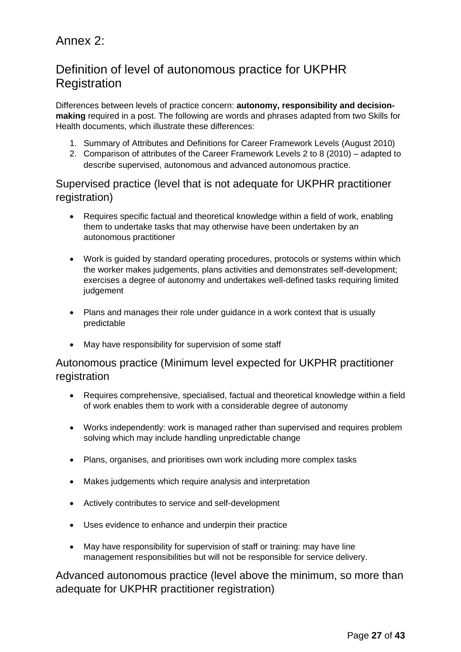# Annex 2:

# Definition of level of autonomous practice for UKPHR **Registration**

Differences between levels of practice concern: **autonomy, responsibility and decisionmaking** required in a post. The following are words and phrases adapted from two Skills for Health documents, which illustrate these differences:

- 1. Summary of Attributes and Definitions for Career Framework Levels (August 2010)
- 2. Comparison of attributes of the Career Framework Levels 2 to 8 (2010) adapted to describe supervised, autonomous and advanced autonomous practice.

Supervised practice (level that is not adequate for UKPHR practitioner registration)

- Requires specific factual and theoretical knowledge within a field of work, enabling them to undertake tasks that may otherwise have been undertaken by an autonomous practitioner
- Work is guided by standard operating procedures, protocols or systems within which the worker makes judgements, plans activities and demonstrates self-development; exercises a degree of autonomy and undertakes well-defined tasks requiring limited judgement
- Plans and manages their role under guidance in a work context that is usually predictable
- May have responsibility for supervision of some staff

### Autonomous practice (Minimum level expected for UKPHR practitioner registration

- Requires comprehensive, specialised, factual and theoretical knowledge within a field of work enables them to work with a considerable degree of autonomy
- Works independently: work is managed rather than supervised and requires problem solving which may include handling unpredictable change
- Plans, organises, and prioritises own work including more complex tasks
- Makes judgements which require analysis and interpretation
- Actively contributes to service and self-development
- Uses evidence to enhance and underpin their practice
- May have responsibility for supervision of staff or training: may have line management responsibilities but will not be responsible for service delivery.

Advanced autonomous practice (level above the minimum, so more than adequate for UKPHR practitioner registration)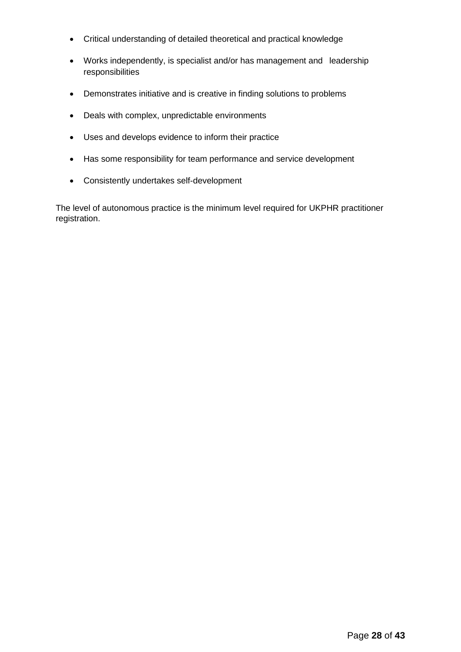- Critical understanding of detailed theoretical and practical knowledge
- Works independently, is specialist and/or has management and leadership responsibilities
- Demonstrates initiative and is creative in finding solutions to problems
- Deals with complex, unpredictable environments
- Uses and develops evidence to inform their practice
- Has some responsibility for team performance and service development
- Consistently undertakes self-development

The level of autonomous practice is the minimum level required for UKPHR practitioner registration.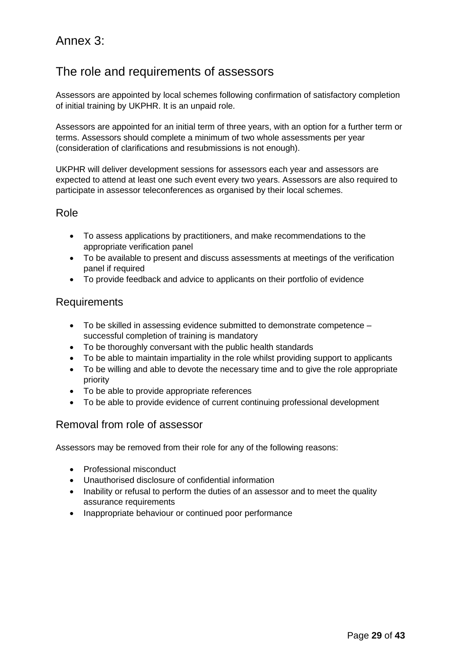# Annex 3:

# The role and requirements of assessors

Assessors are appointed by local schemes following confirmation of satisfactory completion of initial training by UKPHR. It is an unpaid role.

Assessors are appointed for an initial term of three years, with an option for a further term or terms. Assessors should complete a minimum of two whole assessments per year (consideration of clarifications and resubmissions is not enough).

UKPHR will deliver development sessions for assessors each year and assessors are expected to attend at least one such event every two years. Assessors are also required to participate in assessor teleconferences as organised by their local schemes.

### Role

- To assess applications by practitioners, and make recommendations to the appropriate verification panel
- To be available to present and discuss assessments at meetings of the verification panel if required
- To provide feedback and advice to applicants on their portfolio of evidence

### Requirements

- To be skilled in assessing evidence submitted to demonstrate competence successful completion of training is mandatory
- To be thoroughly conversant with the public health standards
- To be able to maintain impartiality in the role whilst providing support to applicants
- To be willing and able to devote the necessary time and to give the role appropriate priority
- To be able to provide appropriate references
- To be able to provide evidence of current continuing professional development

### Removal from role of assessor

Assessors may be removed from their role for any of the following reasons:

- Professional misconduct
- Unauthorised disclosure of confidential information
- Inability or refusal to perform the duties of an assessor and to meet the quality assurance requirements
- Inappropriate behaviour or continued poor performance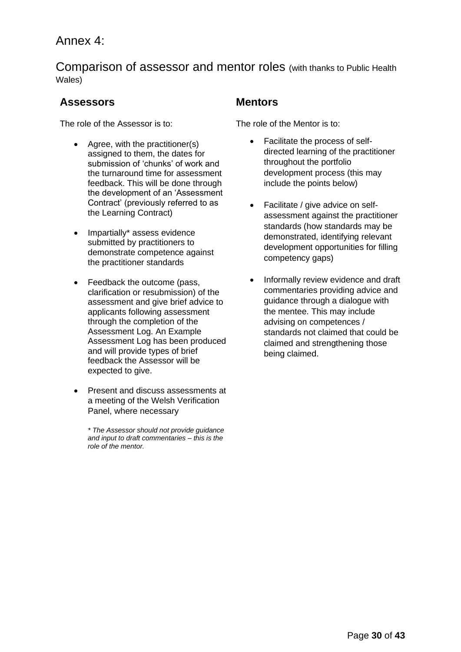# Annex 4:

Comparison of assessor and mentor roles (with thanks to Public Health Wales)

### **Assessors Mentors**

The role of the Assessor is to:

- Agree, with the practitioner(s) assigned to them, the dates for submission of 'chunks' of work and the turnaround time for assessment feedback. This will be done through the development of an 'Assessment Contract' (previously referred to as the Learning Contract)
- Impartially\* assess evidence submitted by practitioners to demonstrate competence against the practitioner standards
- Feedback the outcome (pass, clarification or resubmission) of the assessment and give brief advice to applicants following assessment through the completion of the Assessment Log. An Example Assessment Log has been produced and will provide types of brief feedback the Assessor will be expected to give.
- Present and discuss assessments at a meeting of the Welsh Verification Panel, where necessary

*\* The Assessor should not provide guidance and input to draft commentaries – this is the role of the mentor.* 

The role of the Mentor is to:

- Facilitate the process of selfdirected learning of the practitioner throughout the portfolio development process (this may include the points below)
- Facilitate / give advice on selfassessment against the practitioner standards (how standards may be demonstrated, identifying relevant development opportunities for filling competency gaps)
- Informally review evidence and draft commentaries providing advice and guidance through a dialogue with the mentee. This may include advising on competences / standards not claimed that could be claimed and strengthening those being claimed.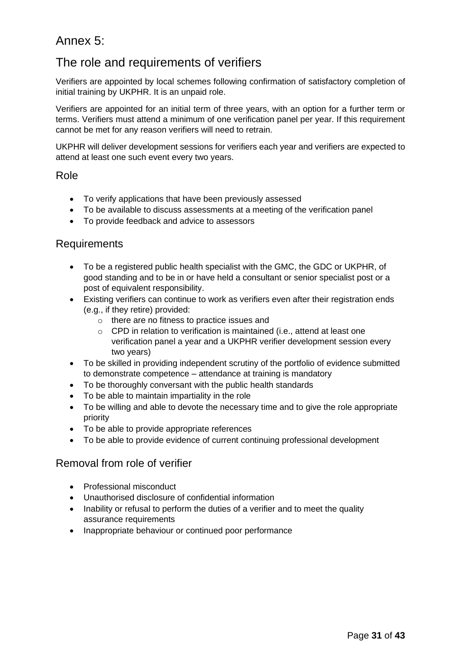# Annex 5:

# The role and requirements of verifiers

Verifiers are appointed by local schemes following confirmation of satisfactory completion of initial training by UKPHR. It is an unpaid role.

Verifiers are appointed for an initial term of three years, with an option for a further term or terms. Verifiers must attend a minimum of one verification panel per year. If this requirement cannot be met for any reason verifiers will need to retrain.

UKPHR will deliver development sessions for verifiers each year and verifiers are expected to attend at least one such event every two years.

### Role

- To verify applications that have been previously assessed
- To be available to discuss assessments at a meeting of the verification panel
- To provide feedback and advice to assessors

### Requirements

- To be a registered public health specialist with the GMC, the GDC or UKPHR, of good standing and to be in or have held a consultant or senior specialist post or a post of equivalent responsibility.
- Existing verifiers can continue to work as verifiers even after their registration ends (e.g., if they retire) provided:
	- o there are no fitness to practice issues and
	- o CPD in relation to verification is maintained (i.e., attend at least one verification panel a year and a UKPHR verifier development session every two years)
- To be skilled in providing independent scrutiny of the portfolio of evidence submitted to demonstrate competence – attendance at training is mandatory
- To be thoroughly conversant with the public health standards
- To be able to maintain impartiality in the role
- To be willing and able to devote the necessary time and to give the role appropriate priority
- To be able to provide appropriate references
- To be able to provide evidence of current continuing professional development

### Removal from role of verifier

- Professional misconduct
- Unauthorised disclosure of confidential information
- Inability or refusal to perform the duties of a verifier and to meet the quality assurance requirements
- Inappropriate behaviour or continued poor performance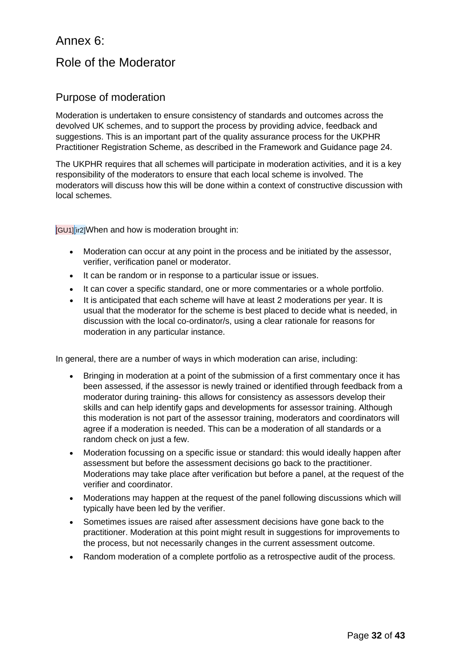# Annex 6:

## Role of the Moderator

### Purpose of moderation

Moderation is undertaken to ensure consistency of standards and outcomes across the devolved UK schemes, and to support the process by providing advice, feedback and suggestions. This is an important part of the quality assurance process for the UKPHR Practitioner Registration Scheme, as described in the Framework and Guidance page 24.

The UKPHR requires that all schemes will participate in moderation activities, and it is a key responsibility of the moderators to ensure that each local scheme is involved. The moderators will discuss how this will be done within a context of constructive discussion with local schemes.

[GU1][ir2]When and how is moderation brought in:

- Moderation can occur at any point in the process and be initiated by the assessor, verifier, verification panel or moderator.
- It can be random or in response to a particular issue or issues.
- It can cover a specific standard, one or more commentaries or a whole portfolio.
- It is anticipated that each scheme will have at least 2 moderations per year. It is usual that the moderator for the scheme is best placed to decide what is needed, in discussion with the local co-ordinator/s, using a clear rationale for reasons for moderation in any particular instance.

In general, there are a number of ways in which moderation can arise, including:

- Bringing in moderation at a point of the submission of a first commentary once it has been assessed, if the assessor is newly trained or identified through feedback from a moderator during training- this allows for consistency as assessors develop their skills and can help identify gaps and developments for assessor training. Although this moderation is not part of the assessor training, moderators and coordinators will agree if a moderation is needed. This can be a moderation of all standards or a random check on just a few.
- Moderation focussing on a specific issue or standard: this would ideally happen after assessment but before the assessment decisions go back to the practitioner. Moderations may take place after verification but before a panel, at the request of the verifier and coordinator.
- Moderations may happen at the request of the panel following discussions which will typically have been led by the verifier.
- Sometimes issues are raised after assessment decisions have gone back to the practitioner. Moderation at this point might result in suggestions for improvements to the process, but not necessarily changes in the current assessment outcome.
- Random moderation of a complete portfolio as a retrospective audit of the process.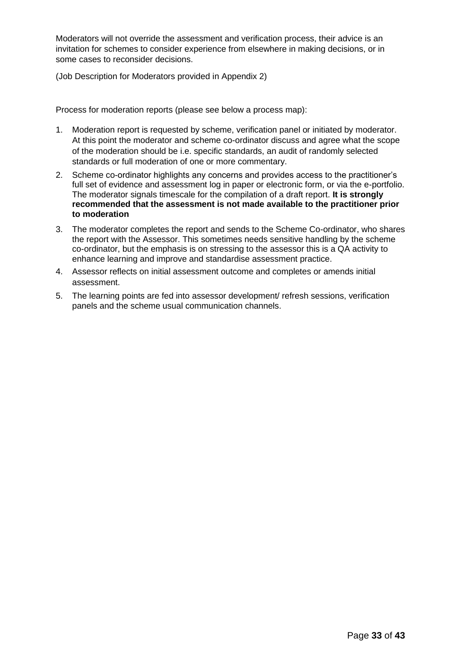Moderators will not override the assessment and verification process, their advice is an invitation for schemes to consider experience from elsewhere in making decisions, or in some cases to reconsider decisions.

(Job Description for Moderators provided in Appendix 2)

Process for moderation reports (please see below a process map):

- 1. Moderation report is requested by scheme, verification panel or initiated by moderator. At this point the moderator and scheme co-ordinator discuss and agree what the scope of the moderation should be i.e. specific standards, an audit of randomly selected standards or full moderation of one or more commentary.
- 2. Scheme co-ordinator highlights any concerns and provides access to the practitioner's full set of evidence and assessment log in paper or electronic form, or via the e-portfolio. The moderator signals timescale for the compilation of a draft report. **It is strongly recommended that the assessment is not made available to the practitioner prior to moderation**
- 3. The moderator completes the report and sends to the Scheme Co-ordinator, who shares the report with the Assessor. This sometimes needs sensitive handling by the scheme co-ordinator, but the emphasis is on stressing to the assessor this is a QA activity to enhance learning and improve and standardise assessment practice.
- 4. Assessor reflects on initial assessment outcome and completes or amends initial assessment.
- 5. The learning points are fed into assessor development/ refresh sessions, verification panels and the scheme usual communication channels.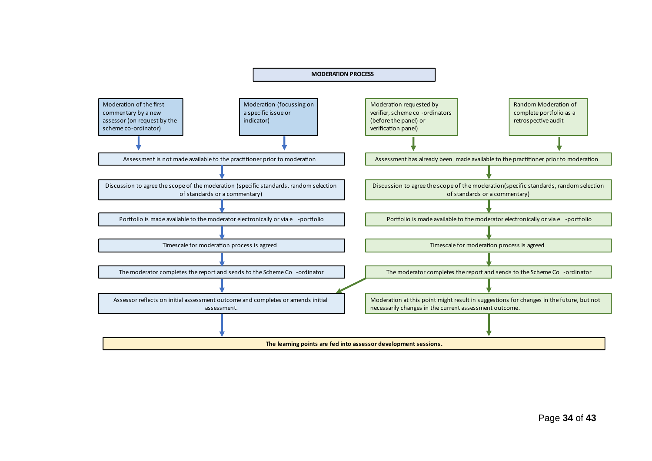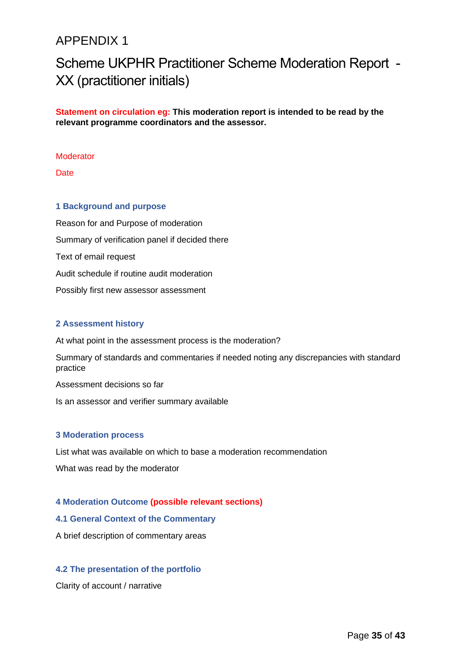# APPENDIX 1

# Scheme UKPHR Practitioner Scheme Moderation Report - XX (practitioner initials)

**Statement on circulation eg: This moderation report is intended to be read by the relevant programme coordinators and the assessor.**

#### **Moderator**

**Date** 

#### **1 Background and purpose**

Reason for and Purpose of moderation Summary of verification panel if decided there Text of email request Audit schedule if routine audit moderation Possibly first new assessor assessment

#### **2 Assessment history**

At what point in the assessment process is the moderation?

Summary of standards and commentaries if needed noting any discrepancies with standard practice

Assessment decisions so far

Is an assessor and verifier summary available

#### **3 Moderation process**

List what was available on which to base a moderation recommendation

What was read by the moderator

#### **4 Moderation Outcome (possible relevant sections)**

#### **4.1 General Context of the Commentary**

A brief description of commentary areas

#### **4.2 The presentation of the portfolio**

Clarity of account / narrative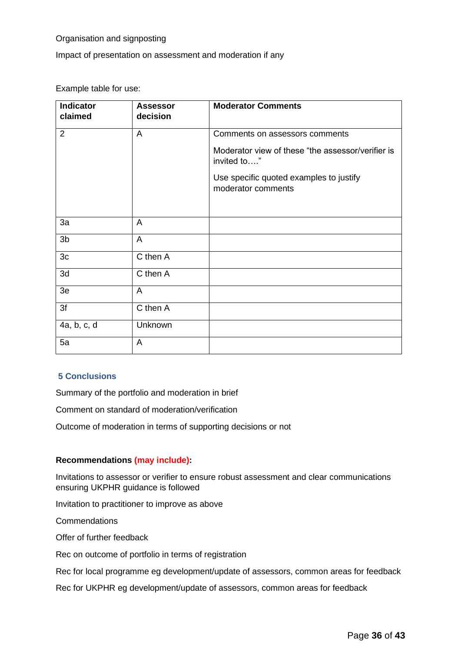#### Organisation and signposting

Impact of presentation on assessment and moderation if any

Example table for use:

| <b>Indicator</b><br>claimed | <b>Assessor</b><br>decision | <b>Moderator Comments</b>                                        |
|-----------------------------|-----------------------------|------------------------------------------------------------------|
| $\overline{2}$              | A                           | Comments on assessors comments                                   |
|                             |                             | Moderator view of these "the assessor/verifier is<br>invited to" |
|                             |                             | Use specific quoted examples to justify<br>moderator comments    |
|                             |                             |                                                                  |
| 3a                          | A                           |                                                                  |
| 3 <sub>b</sub>              | A                           |                                                                  |
| 3c                          | C then A                    |                                                                  |
| 3d                          | C then A                    |                                                                  |
| 3e                          | A                           |                                                                  |
| 3f                          | C then A                    |                                                                  |
| 4a, b, c, d                 | Unknown                     |                                                                  |
| 5a                          | A                           |                                                                  |

#### **5 Conclusions**

Summary of the portfolio and moderation in brief

Comment on standard of moderation/verification

Outcome of moderation in terms of supporting decisions or not

#### **Recommendations (may include):**

Invitations to assessor or verifier to ensure robust assessment and clear communications ensuring UKPHR guidance is followed

Invitation to practitioner to improve as above

Commendations

Offer of further feedback

Rec on outcome of portfolio in terms of registration

Rec for local programme eg development/update of assessors, common areas for feedback

Rec for UKPHR eg development/update of assessors, common areas for feedback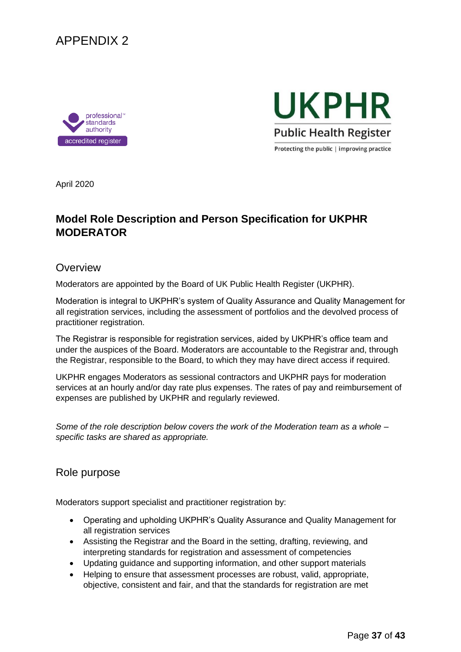





Protecting the public | improving practice

April 2020

### **Model Role Description and Person Specification for UKPHR MODERATOR**

#### **Overview**

Moderators are appointed by the Board of UK Public Health Register (UKPHR).

Moderation is integral to UKPHR's system of Quality Assurance and Quality Management for all registration services, including the assessment of portfolios and the devolved process of practitioner registration.

The Registrar is responsible for registration services, aided by UKPHR's office team and under the auspices of the Board. Moderators are accountable to the Registrar and, through the Registrar, responsible to the Board, to which they may have direct access if required.

UKPHR engages Moderators as sessional contractors and UKPHR pays for moderation services at an hourly and/or day rate plus expenses. The rates of pay and reimbursement of expenses are published by UKPHR and regularly reviewed.

*Some of the role description below covers the work of the Moderation team as a whole – specific tasks are shared as appropriate.* 

### Role purpose

Moderators support specialist and practitioner registration by:

- Operating and upholding UKPHR's Quality Assurance and Quality Management for all registration services
- Assisting the Registrar and the Board in the setting, drafting, reviewing, and interpreting standards for registration and assessment of competencies
- Updating guidance and supporting information, and other support materials
- Helping to ensure that assessment processes are robust, valid, appropriate, objective, consistent and fair, and that the standards for registration are met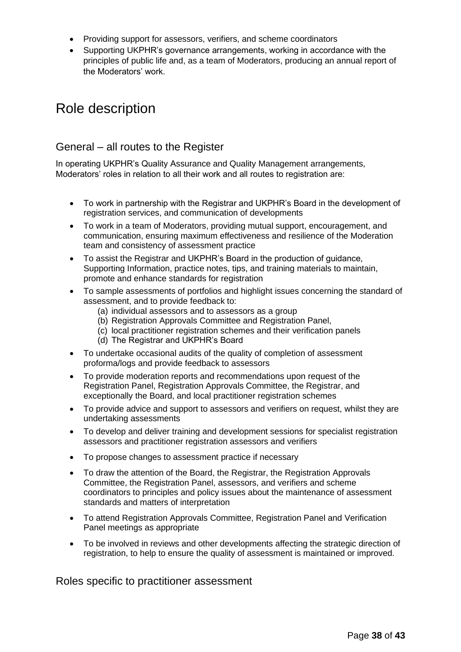- Providing support for assessors, verifiers, and scheme coordinators
- Supporting UKPHR's governance arrangements, working in accordance with the principles of public life and, as a team of Moderators, producing an annual report of the Moderators' work.

# Role description

### General – all routes to the Register

In operating UKPHR's Quality Assurance and Quality Management arrangements, Moderators' roles in relation to all their work and all routes to registration are:

- To work in partnership with the Registrar and UKPHR's Board in the development of registration services, and communication of developments
- To work in a team of Moderators, providing mutual support, encouragement, and communication, ensuring maximum effectiveness and resilience of the Moderation team and consistency of assessment practice
- To assist the Registrar and UKPHR's Board in the production of guidance, Supporting Information, practice notes, tips, and training materials to maintain, promote and enhance standards for registration
- To sample assessments of portfolios and highlight issues concerning the standard of assessment, and to provide feedback to:
	- (a) individual assessors and to assessors as a group
	- (b) Registration Approvals Committee and Registration Panel,
	- (c) local practitioner registration schemes and their verification panels
	- (d) The Registrar and UKPHR's Board
- To undertake occasional audits of the quality of completion of assessment proforma/logs and provide feedback to assessors
- To provide moderation reports and recommendations upon request of the Registration Panel, Registration Approvals Committee, the Registrar, and exceptionally the Board, and local practitioner registration schemes
- To provide advice and support to assessors and verifiers on request, whilst they are undertaking assessments
- To develop and deliver training and development sessions for specialist registration assessors and practitioner registration assessors and verifiers
- To propose changes to assessment practice if necessary
- To draw the attention of the Board, the Registrar, the Registration Approvals Committee, the Registration Panel, assessors, and verifiers and scheme coordinators to principles and policy issues about the maintenance of assessment standards and matters of interpretation
- To attend Registration Approvals Committee, Registration Panel and Verification Panel meetings as appropriate
- To be involved in reviews and other developments affecting the strategic direction of registration, to help to ensure the quality of assessment is maintained or improved.

### Roles specific to practitioner assessment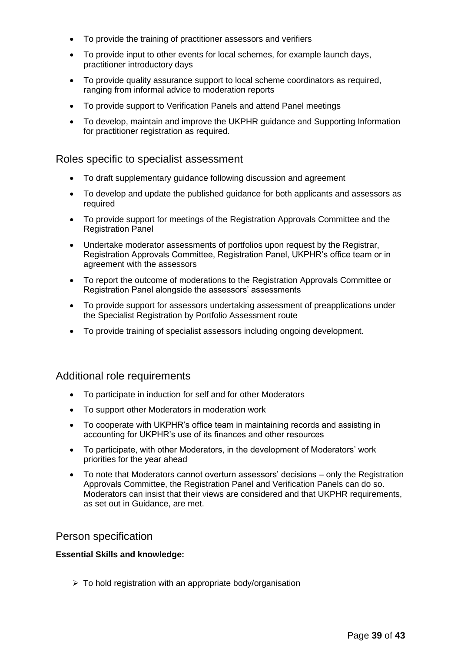- To provide the training of practitioner assessors and verifiers
- To provide input to other events for local schemes, for example launch days, practitioner introductory days
- To provide quality assurance support to local scheme coordinators as required, ranging from informal advice to moderation reports
- To provide support to Verification Panels and attend Panel meetings
- To develop, maintain and improve the UKPHR guidance and Supporting Information for practitioner registration as required.

#### Roles specific to specialist assessment

- To draft supplementary guidance following discussion and agreement
- To develop and update the published guidance for both applicants and assessors as required
- To provide support for meetings of the Registration Approvals Committee and the Registration Panel
- Undertake moderator assessments of portfolios upon request by the Registrar, Registration Approvals Committee, Registration Panel, UKPHR's office team or in agreement with the assessors
- To report the outcome of moderations to the Registration Approvals Committee or Registration Panel alongside the assessors' assessments
- To provide support for assessors undertaking assessment of preapplications under the Specialist Registration by Portfolio Assessment route
- To provide training of specialist assessors including ongoing development.

#### Additional role requirements

- To participate in induction for self and for other Moderators
- To support other Moderators in moderation work
- To cooperate with UKPHR's office team in maintaining records and assisting in accounting for UKPHR's use of its finances and other resources
- To participate, with other Moderators, in the development of Moderators' work priorities for the year ahead
- To note that Moderators cannot overturn assessors' decisions only the Registration Approvals Committee, the Registration Panel and Verification Panels can do so. Moderators can insist that their views are considered and that UKPHR requirements, as set out in Guidance, are met.

#### Person specification

#### **Essential Skills and knowledge:**

 $\triangleright$  To hold registration with an appropriate body/organisation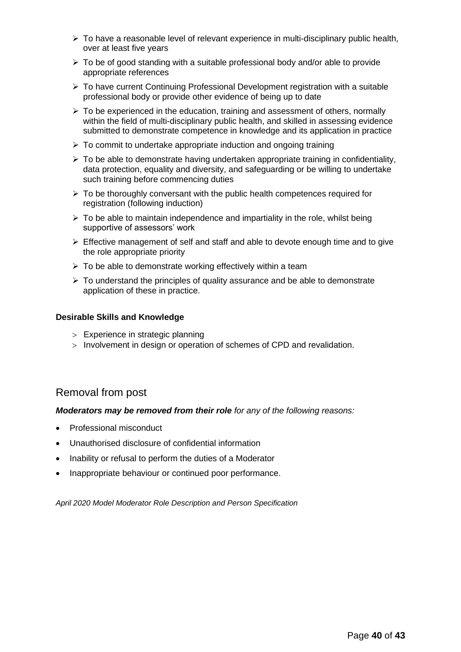- ➢ To have a reasonable level of relevant experience in multi-disciplinary public health, over at least five years
- $\triangleright$  To be of good standing with a suitable professional body and/or able to provide appropriate references
- $\triangleright$  To have current Continuing Professional Development registration with a suitable professional body or provide other evidence of being up to date
- $\triangleright$  To be experienced in the education, training and assessment of others, normally within the field of multi-disciplinary public health, and skilled in assessing evidence submitted to demonstrate competence in knowledge and its application in practice
- $\triangleright$  To commit to undertake appropriate induction and ongoing training
- $\triangleright$  To be able to demonstrate having undertaken appropriate training in confidentiality, data protection, equality and diversity, and safeguarding or be willing to undertake such training before commencing duties
- ➢ To be thoroughly conversant with the public health competences required for registration (following induction)
- $\triangleright$  To be able to maintain independence and impartiality in the role, whilst being supportive of assessors' work
- $\triangleright$  Effective management of self and staff and able to devote enough time and to give the role appropriate priority
- $\triangleright$  To be able to demonstrate working effectively within a team
- ➢ To understand the principles of quality assurance and be able to demonstrate application of these in practice.

#### **Desirable Skills and Knowledge**

- Experience in strategic planning
- $>$  Involvement in design or operation of schemes of CPD and revalidation.

### Removal from post

#### *Moderators may be removed from their role for any of the following reasons:*

- Professional misconduct
- Unauthorised disclosure of confidential information
- Inability or refusal to perform the duties of a Moderator
- Inappropriate behaviour or continued poor performance.

*April 2020 Model Moderator Role Description and Person Specification*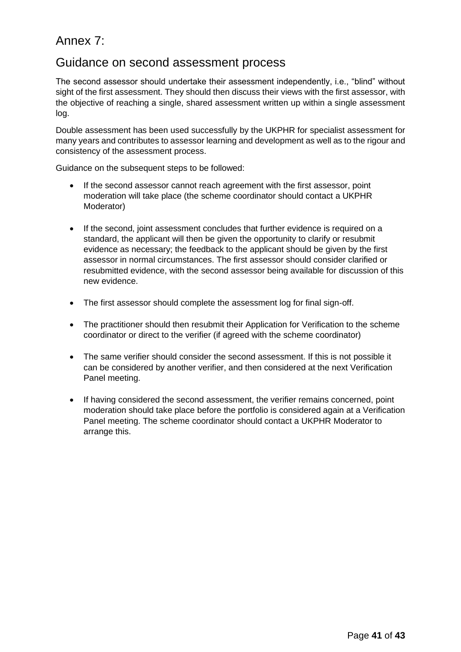# Annex 7:

### Guidance on second assessment process

The second assessor should undertake their assessment independently, i.e., "blind" without sight of the first assessment. They should then discuss their views with the first assessor, with the objective of reaching a single, shared assessment written up within a single assessment log.

Double assessment has been used successfully by the UKPHR for specialist assessment for many years and contributes to assessor learning and development as well as to the rigour and consistency of the assessment process.

Guidance on the subsequent steps to be followed:

- If the second assessor cannot reach agreement with the first assessor, point moderation will take place (the scheme coordinator should contact a UKPHR Moderator)
- If the second, joint assessment concludes that further evidence is required on a standard, the applicant will then be given the opportunity to clarify or resubmit evidence as necessary; the feedback to the applicant should be given by the first assessor in normal circumstances. The first assessor should consider clarified or resubmitted evidence, with the second assessor being available for discussion of this new evidence.
- The first assessor should complete the assessment log for final sign-off.
- The practitioner should then resubmit their Application for Verification to the scheme coordinator or direct to the verifier (if agreed with the scheme coordinator)
- The same verifier should consider the second assessment. If this is not possible it can be considered by another verifier, and then considered at the next Verification Panel meeting.
- If having considered the second assessment, the verifier remains concerned, point moderation should take place before the portfolio is considered again at a Verification Panel meeting. The scheme coordinator should contact a UKPHR Moderator to arrange this.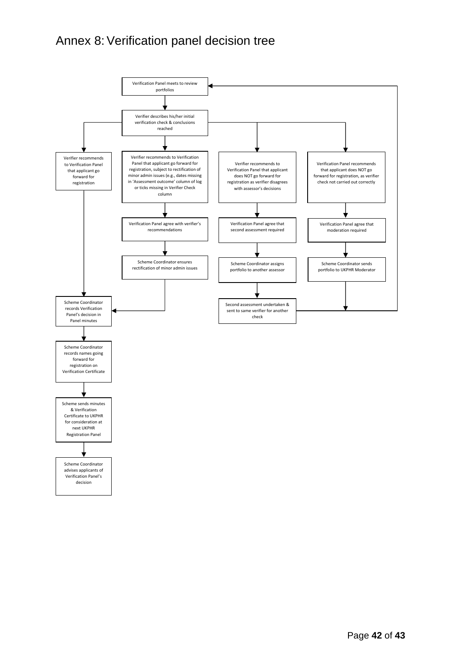# Annex 8: Verification panel decision tree